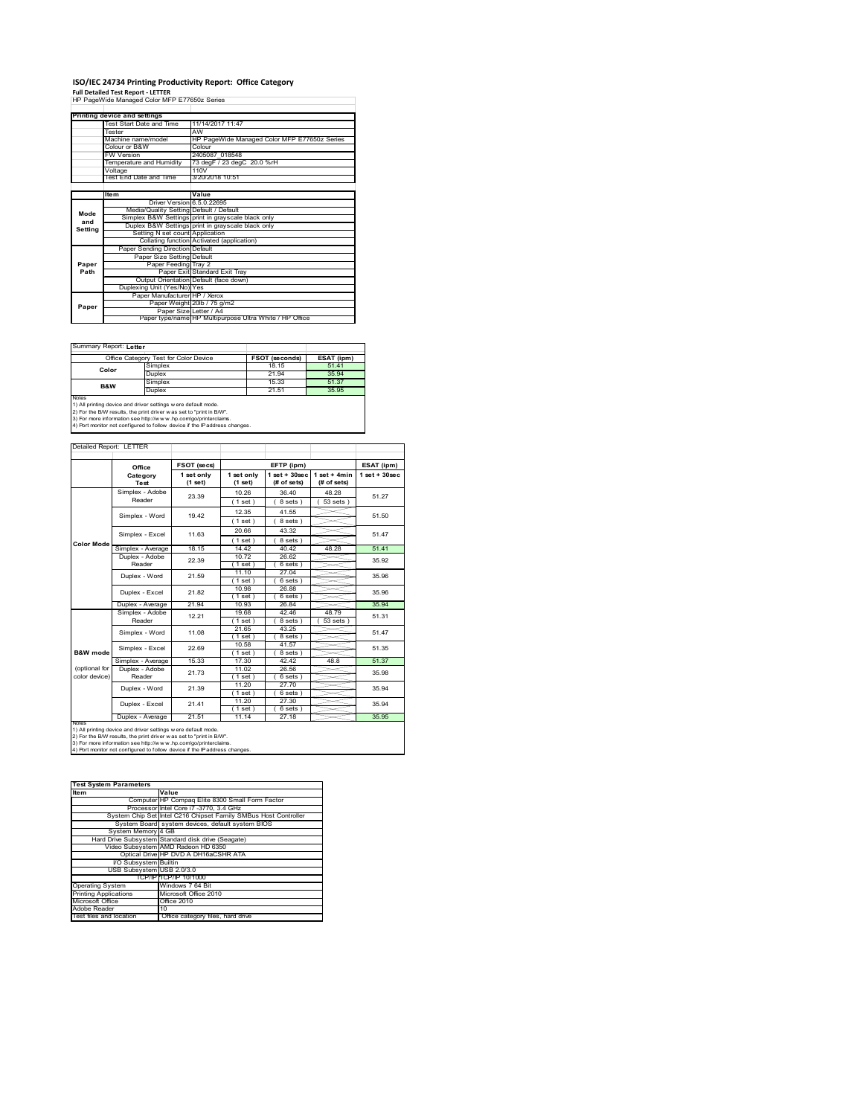# **ISO/IEC 24734 Printing Productivity Report: Office Category Full Detailed Test Report ‐ LETTER** HP PageWide Managed Color MFP E77650z Series

| HP PageWide Managed Color MFP E77650z Series |                                         |                                                         |  |  |
|----------------------------------------------|-----------------------------------------|---------------------------------------------------------|--|--|
|                                              |                                         |                                                         |  |  |
|                                              | Printing device and settings            |                                                         |  |  |
|                                              | Test Start Date and Time                | 11/14/2017 11:47                                        |  |  |
|                                              | Tester                                  | AW                                                      |  |  |
|                                              | Machine name/model                      | HP PageWide Managed Color MFP E77650z Series            |  |  |
|                                              | Colour or B&W                           | Colour                                                  |  |  |
|                                              | <b>FW Version</b>                       | 2405087 018548                                          |  |  |
|                                              | Temperature and Humidity                | 73 degF / 23 degC 20.0 %rH                              |  |  |
|                                              | Voltage                                 | 110V                                                    |  |  |
|                                              | Test End Date and Time                  | 3/20/2018 10:51                                         |  |  |
|                                              |                                         |                                                         |  |  |
|                                              | Item                                    | Value                                                   |  |  |
|                                              | Driver Version 6.5.0.22695              |                                                         |  |  |
| Mode                                         | Media/Quality Setting Default / Default |                                                         |  |  |
| and                                          |                                         | Simplex B&W Settings print in grayscale black only      |  |  |
| Setting                                      |                                         | Duplex B&W Settings print in grayscale black only       |  |  |
|                                              | Setting N set count Application         |                                                         |  |  |
|                                              |                                         | Collating function Activated (application)              |  |  |
|                                              | Paper Sending Direction Default         |                                                         |  |  |
|                                              | Paper Size Setting Default              |                                                         |  |  |
| Paper                                        | Paper Feeding Tray 2                    |                                                         |  |  |
| Path                                         |                                         | Paper Exit Standard Exit Tray                           |  |  |
|                                              |                                         | Output Orientation Default (face down)                  |  |  |
|                                              | Duplexing Unit (Yes/No) Yes             |                                                         |  |  |
|                                              | Paper Manufacturer HP / Xerox           |                                                         |  |  |
| Paper                                        |                                         | Paper Weight 20lb / 75 g/m2                             |  |  |
|                                              | Paper Size Letter / A4                  |                                                         |  |  |
|                                              |                                         | Paper type/name HP Multipurpose Ultra White / HP Office |  |  |

Summary Report: **Letter**

| Office Category Test for Color Device                                          |         | <b>FSOT (seconds)</b> | ESAT (ipm) |  |  |  |
|--------------------------------------------------------------------------------|---------|-----------------------|------------|--|--|--|
| Color                                                                          | Simplex | 18.15                 | 51.41      |  |  |  |
|                                                                                | Duplex  | 21.94                 | 35 94      |  |  |  |
|                                                                                | Simplex | 15.33                 | 51.37      |  |  |  |
| B&W                                                                            | Duplex  | 21.51                 | 35.95      |  |  |  |
| Notes                                                                          |         |                       |            |  |  |  |
| 1) All printing device and driver settings w ere default mode.                 |         |                       |            |  |  |  |
| 2) For the B/W results, the print driver was set to "print in B/W".            |         |                       |            |  |  |  |
| 195. The more information one letter (horrors) has a contractorizational dimen |         |                       |            |  |  |  |

٦

3) For more information see http://w w w .hp.com/go/printerclaims. 4) Port monitor not configured to follow device if the IP address changes.

|                   | Detailed Report: LETTER |                       |                       |                                  |                               |                    |
|-------------------|-------------------------|-----------------------|-----------------------|----------------------------------|-------------------------------|--------------------|
|                   | Office                  | FSOT (secs)           |                       | EFTP (ipm)                       |                               | ESAT (ipm)         |
|                   | Category<br>Test        | 1 set only<br>(1 set) | 1 set only<br>(1 set) | $1$ set $+30$ sec<br>(# of sets) | $1$ set + 4min<br>(# of sets) | $1$ set + $30$ sec |
|                   | Simplex - Adobe         | 23.39                 | 10.26                 | 36.40                            | 48.28                         | 51.27              |
|                   | Reader                  |                       | 1 set)                | 8 sets)                          | $53$ sets $)$                 |                    |
|                   | Simplex - Word          | 1942                  | 12.35                 | 41.55                            |                               | 51.50              |
|                   |                         |                       | 1 set)                | 8 sets)                          |                               |                    |
|                   | Simplex - Excel         | 11.63                 | 20.66                 | 43.32                            |                               | 51 47              |
| <b>Color Mode</b> |                         |                       | (1 set)               | 8 sets)                          |                               |                    |
|                   | Simplex - Average       | 18.15                 | 14.42                 | 40.42                            | 48.28                         | 51.41              |
|                   | Duplex - Adobe          | 22.39                 | 10.72                 | 26.62                            |                               | 35.92              |
|                   | Reader                  |                       | $1$ set)              | 6 sets)                          |                               |                    |
|                   | Duplex - Word           | 21.59                 | 11.10                 | 27.04                            |                               | 35.96              |
|                   |                         |                       | 1 set)                | 6 sets)                          |                               |                    |
|                   | Duplex - Excel          | 21.82                 | 10.98                 | 26.88                            |                               | 35.96              |
|                   |                         |                       | $1$ set)              | $6 sets$ )                       |                               |                    |
|                   | Duplex - Average        | 21.94                 | 10.93                 | 26.84                            |                               | 35.94              |
|                   | Simplex - Adobe         | 12.21                 | 19.68                 | 4246                             | 48.79                         | 51.31              |
|                   | Reader                  |                       | (1 set)               | 8 sets                           | 53 sets                       |                    |
|                   | Simplex - Word          | 11.08                 | 21.65                 | 43.25                            |                               | 51 47              |
|                   |                         |                       | (1 set)               | 8 sets)                          |                               |                    |
|                   | Simplex - Excel         | 22.69                 | 10.58                 | 41.57                            |                               | 51.35              |
| B&W mode          |                         |                       | (1 set)               | 8 sets)                          |                               |                    |
|                   | Simplex - Average       | 15.33                 | 17.30                 | 42.42                            | 48.8                          | 51.37              |
| (optional for     | Duplex - Adobe          | 21.73                 | 11.02                 | 26.56                            |                               | 35 98              |
| color device)     | Reader                  |                       | (1 set)               | $6 sets$ )                       |                               |                    |
|                   | Duplex - Word           | 21.39                 | 11.20                 | 27.70                            |                               | 35.94              |
|                   |                         |                       | (1 set )              | 6 sets)                          |                               |                    |
|                   | Duplex - Excel          | 21 41                 | 11.20                 | 27.30                            |                               | 35 94              |
|                   |                         |                       | (1 set)               | 6 sets)                          |                               |                    |
| <b>NOtes</b>      | Duplex - Average        | 21.51                 | 11.14                 | 27.18                            |                               | 35.95              |

notes<br>1) All printing device and driver settings were default mode.<br>2) For the B/W results, the print driver was set to "print in B/W".<br>3) For more information see http://www.hp.com/go/printerclaims.<br>4) Por morator not con

| <b>Test System Parameters</b> |                                                                 |  |  |  |
|-------------------------------|-----------------------------------------------------------------|--|--|--|
| <b>Item</b>                   | Value                                                           |  |  |  |
|                               | Computer HP Compag Elite 8300 Small Form Factor                 |  |  |  |
|                               | Processor Intel Core i7 -3770, 3.4 GHz                          |  |  |  |
|                               | System Chip Set Intel C216 Chipset Family SMBus Host Controller |  |  |  |
|                               | System Board system devices, default system BIOS                |  |  |  |
| System Memory 4 GB            |                                                                 |  |  |  |
|                               | Hard Drive Subsystem Standard disk drive (Seagate)              |  |  |  |
|                               | Video Subsystem AMD Radeon HD 6350                              |  |  |  |
|                               | Optical Drive HP DVD A DH16aCSHR ATA                            |  |  |  |
| I/O Subsystem Builtin         |                                                                 |  |  |  |
| USB Subsystem USB 2.0/3.0     |                                                                 |  |  |  |
|                               | TCP/IPITCP/IP 10/1000                                           |  |  |  |
| <b>Operating System</b>       | Windows 7 64 Bit                                                |  |  |  |
| <b>Printing Applications</b>  | Microsoft Office 2010                                           |  |  |  |
| Microsoft Office              | Office 2010                                                     |  |  |  |
| Adobe Reader                  | 10                                                              |  |  |  |
| Test files and location       | Office category files, hard drive                               |  |  |  |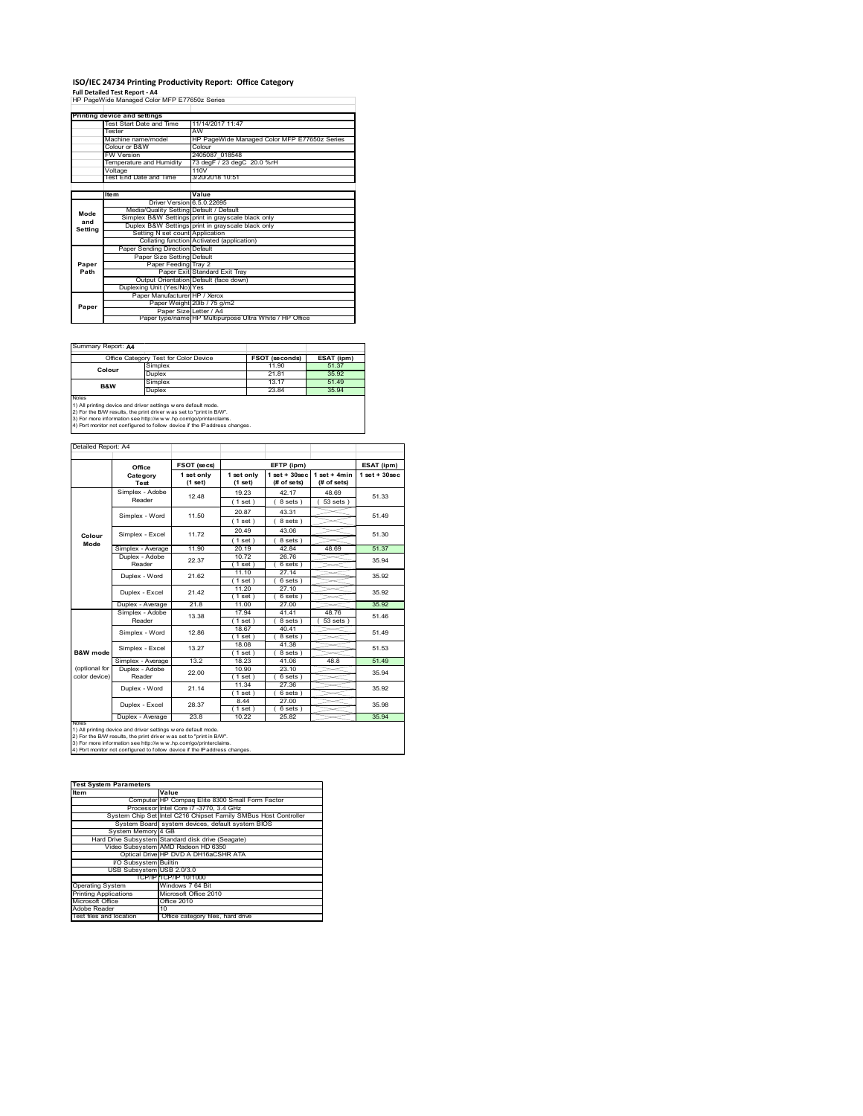#### **ISO/IEC 24734 Printing Productivity Report: Office Category**

**Full Detailed Test Report ‐ A4** HP PageWide Managed Color MFP E77650z Series

|             | . all betailed Test Report - A +             |                                                         |  |  |
|-------------|----------------------------------------------|---------------------------------------------------------|--|--|
|             | HP PageWide Managed Color MFP E77650z Series |                                                         |  |  |
|             |                                              |                                                         |  |  |
|             | Printing device and settings                 |                                                         |  |  |
|             | Test Start Date and Time                     | 11/14/2017 11:47                                        |  |  |
|             | Tester                                       | AW                                                      |  |  |
|             | Machine name/model                           | HP PageWide Managed Color MFP E77650z Series            |  |  |
|             | Colour or B&W                                | Colour                                                  |  |  |
|             | <b>FW Version</b>                            | 2405087 018548                                          |  |  |
|             | Temperature and Humidity                     | 73 degF / 23 degC 20.0 %rH                              |  |  |
|             | Voltage                                      | 110V                                                    |  |  |
|             | Test End Date and Time                       | 3/20/2018 10:51                                         |  |  |
|             |                                              |                                                         |  |  |
| <b>Item</b> |                                              | Value                                                   |  |  |
|             | Driver Version 6.5.0.22695                   |                                                         |  |  |
| Mode        | Media/Quality Setting Default / Default      |                                                         |  |  |
| and         |                                              | Simplex B&W Settings print in grayscale black only      |  |  |
| Setting     |                                              | Duplex B&W Settings print in grayscale black only       |  |  |
|             | Setting N set count Application              |                                                         |  |  |
|             |                                              | Collating function Activated (application)              |  |  |
|             | Paper Sending Direction Default              |                                                         |  |  |
|             | Paper Size Setting Default                   |                                                         |  |  |
| Paper       | Paper Feeding Tray 2                         |                                                         |  |  |
| Path        |                                              | Paper Exit Standard Exit Tray                           |  |  |
|             |                                              | Output Orientation Default (face down)                  |  |  |
|             | Duplexing Unit (Yes/No) Yes                  |                                                         |  |  |
|             | Paper Manufacturer HP / Xerox                |                                                         |  |  |
|             |                                              | Paper Weight 20lb / 75 g/m2                             |  |  |
|             |                                              |                                                         |  |  |
| Paper       | Paper Size Letter / A4                       | Paper type/name HP Multipurpose Ultra White / HP Office |  |  |

Summary Report: **A4**

| $50$ and $\frac{1}{2}$ is the post. $\frac{1}{2}$                                                                                                     |         |                       |            |  |  |
|-------------------------------------------------------------------------------------------------------------------------------------------------------|---------|-----------------------|------------|--|--|
| Office Category Test for Color Device                                                                                                                 |         | <b>FSOT (seconds)</b> | ESAT (ipm) |  |  |
| Colour                                                                                                                                                | Simplex | 11.90                 | 51.37      |  |  |
|                                                                                                                                                       | Duplex  | 21.81                 | 35.92      |  |  |
| B&W                                                                                                                                                   | Simplex | 13 17                 | 51.49      |  |  |
|                                                                                                                                                       | Duplex  | 23.84                 | 35.94      |  |  |
| <b>Notes</b><br>1) All printing device and driver settings w ere default mode.<br>2) For the B/W results, the print driver was set to "print in B/W". |         |                       |            |  |  |

| Detailed Report: A4 |                   |                         |                       |                                  |                               |                   |
|---------------------|-------------------|-------------------------|-----------------------|----------------------------------|-------------------------------|-------------------|
|                     |                   |                         |                       |                                  |                               |                   |
|                     | Office            | FSOT (secs)             |                       | EFTP (ipm)                       |                               | ESAT (ipm)        |
|                     | Category<br>Test  | 1 set only<br>$(1$ set) | 1 set only<br>(1 set) | $1$ set $+30$ sec<br>(# of sets) | $1$ set + 4min<br>(# of sets) | $1$ set $+30$ sec |
|                     | Simplex - Adobe   | 12 48                   | 19.23                 | 42.17                            | 48.69                         | 51.33             |
|                     | Reader            |                         | (1 set)               | 8 sets)                          | $53$ sets $)$                 |                   |
|                     | Simplex - Word    |                         | 20.87                 | 43.31                            |                               | 51 49             |
|                     |                   | 11.50                   | (1 set)               | 8 sets)                          |                               |                   |
|                     |                   |                         | 20.49                 | 43.06                            |                               |                   |
| Colour              | Simplex - Excel   | 11.72                   | $1$ set)              | 8 sets)                          |                               | 51.30             |
| Mode                | Simplex - Average | 11.90                   | 20.19                 | 42.84                            | 48.69                         | 51.37             |
|                     | Duplex - Adobe    | 22.37                   | 10.72                 | 26.76                            |                               | 35 94             |
|                     | Reader            |                         | (1 set)               | 6 sets)                          |                               |                   |
|                     | Duplex - Word     | 21.62                   | 11.10                 | 27.14                            |                               | 35.92             |
|                     |                   |                         | 1 set                 | 6 sets                           |                               |                   |
|                     | Duplex - Excel    | 21 42                   | 11 20                 | 27.10                            |                               | 35.92             |
|                     | Duplex - Average  | 21.8                    | (1 set)<br>11.00      | 6 sets )<br>27.00                |                               | 35.92             |
|                     | Simplex - Adobe   |                         | 17.94                 | 41.41                            | 48.76                         |                   |
|                     | Reader            | 13.38                   | 1 set                 | 8 sets                           | 53 sets                       | 51.46             |
|                     |                   |                         | 18.67                 | 40.41                            |                               |                   |
|                     | Simplex - Word    | 1286                    | $1$ set)              | 8 sets)                          |                               | 51 49             |
|                     | Simplex - Excel   | 13.27                   | 18.08                 | 41.38                            |                               | 51.53             |
| B&W mode            |                   |                         | (1 set)               | 8 sets)                          |                               |                   |
|                     | Simplex - Average | 13.2                    | 18.23                 | 41.06                            | 48.8                          | 51.49             |
| (optional for       | Duplex - Adobe    | 22.00                   | 10.90                 | 23.10                            |                               | 35 94             |
| color device)       | Reader            |                         | (1 set)               | 6 sets)                          |                               |                   |
|                     | Duplex - Word     | 21.14                   | 11.34                 | 27.36                            |                               | 35.92             |
|                     |                   |                         | (1 set)               | 6 sets                           |                               |                   |
|                     | Duplex - Excel    | 28.37                   | 8.44<br>$1$ set)      | 27.00<br>$6 sets$ )              |                               | 35.98             |
|                     |                   |                         |                       |                                  |                               |                   |

**NORS**<br>NORS<br>2) For the BAV results, the print driver setting severe default mode.<br>2) For the BAV results, the print driver was set to "print in BAV".<br>3) For the BAV results, the print driver was set to "print in BAV".<br>3) F

| <b>Test System Parameters</b> |                                                                 |  |  |  |
|-------------------------------|-----------------------------------------------------------------|--|--|--|
| <b>Item</b>                   | Value                                                           |  |  |  |
|                               | Computer HP Compag Elite 8300 Small Form Factor                 |  |  |  |
|                               | Processor Intel Core i7 -3770, 3.4 GHz                          |  |  |  |
|                               | System Chip Set Intel C216 Chipset Family SMBus Host Controller |  |  |  |
|                               | System Board system devices, default system BIOS                |  |  |  |
| System Memory 4 GB            |                                                                 |  |  |  |
|                               | Hard Drive Subsystem Standard disk drive (Seagate)              |  |  |  |
|                               | Video Subsystem AMD Radeon HD 6350                              |  |  |  |
|                               | Optical Drive HP DVD A DH16aCSHR ATA                            |  |  |  |
| I/O Subsystem Builtin         |                                                                 |  |  |  |
| USB Subsystem USB 2.0/3.0     |                                                                 |  |  |  |
|                               | TCP/IPITCP/IP 10/1000                                           |  |  |  |
| <b>Operating System</b>       | Windows 7 64 Bit                                                |  |  |  |
| <b>Printing Applications</b>  | Microsoft Office 2010                                           |  |  |  |
| Microsoft Office              | Office 2010                                                     |  |  |  |
| Adobe Reader                  | 10                                                              |  |  |  |
| Test files and location       | Office category files, hard drive                               |  |  |  |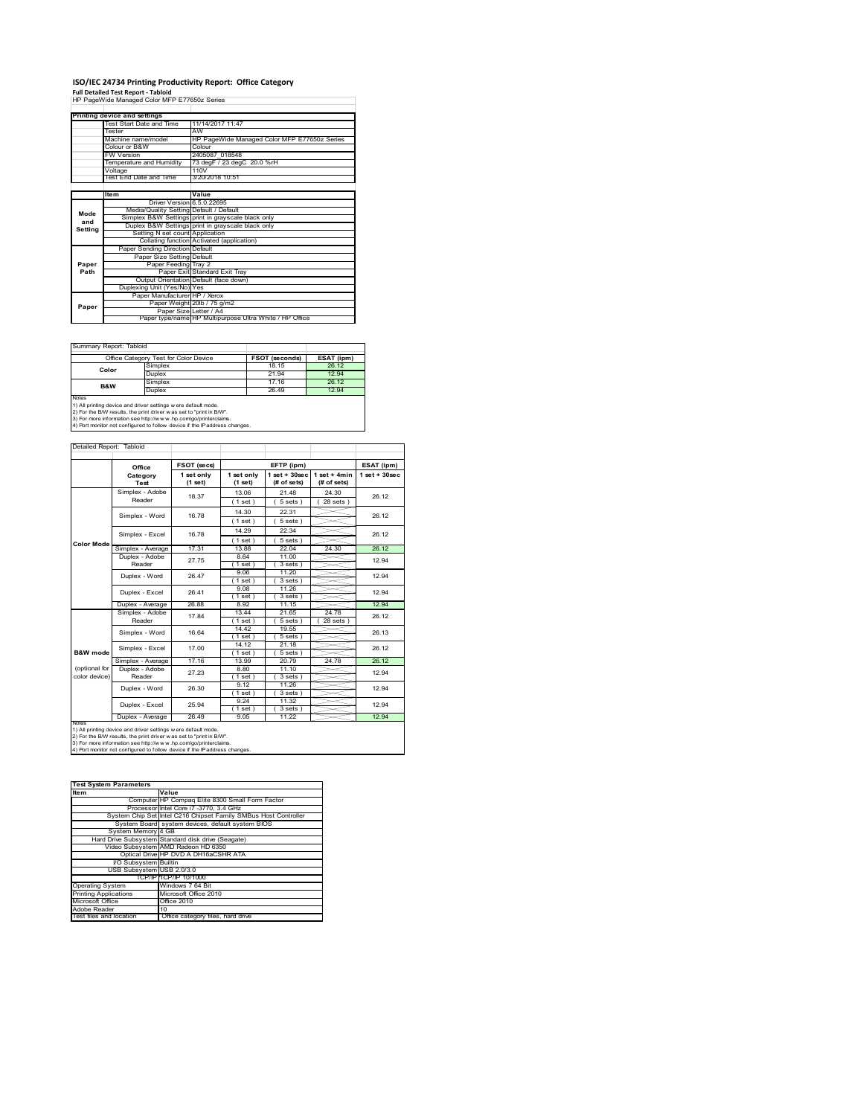# **ISO/IEC 24734 Printing Productivity Report: Office Category Full Detailed Test Report ‐ Tabloid** HP PageWide Managed Color MFP E77650z Series

|         | Printing device and settings            |                                                         |  |  |
|---------|-----------------------------------------|---------------------------------------------------------|--|--|
|         | Test Start Date and Time                | 11/14/2017 11:47                                        |  |  |
|         | Tester                                  | AW                                                      |  |  |
|         | Machine name/model                      | HP PageWide Managed Color MFP E77650z Series            |  |  |
|         | Colour or B&W                           | Colour                                                  |  |  |
|         | <b>FW Version</b>                       | 2405087 018548                                          |  |  |
|         | Temperature and Humidity                | 73 degF / 23 degC 20.0 %rH                              |  |  |
|         | Voltage                                 | 110V                                                    |  |  |
|         | Test End Date and Time                  | 3/20/2018 10:51                                         |  |  |
|         |                                         |                                                         |  |  |
|         | ltem                                    | Value                                                   |  |  |
|         | Driver Version 6.5.0.22695              |                                                         |  |  |
| Mode    | Media/Quality Setting Default / Default |                                                         |  |  |
| and     |                                         | Simplex B&W Settings print in grayscale black only      |  |  |
| Setting |                                         | Duplex B&W Settings print in grayscale black only       |  |  |
|         | Setting N set count Application         |                                                         |  |  |
|         |                                         | Collating function Activated (application)              |  |  |
|         | Paper Sending Direction Default         |                                                         |  |  |
|         | Paper Size Setting Default              |                                                         |  |  |
| Paper   | Paper Feeding Tray 2                    |                                                         |  |  |
| Path    |                                         | Paper Exit Standard Exit Tray                           |  |  |
|         |                                         | Output Orientation Default (face down)                  |  |  |
|         | Duplexing Unit (Yes/No) Yes             |                                                         |  |  |
|         | Paper Manufacturer HP / Xerox           |                                                         |  |  |
| Paper   |                                         | Paper Weight 20lb / 75 g/m2                             |  |  |
|         | Paper Size Letter / A4                  |                                                         |  |  |
|         |                                         | Paper type/name HP Multipurpose Ultra White / HP Office |  |  |

 $\overline{\phantom{a}}$ 

Summary Report: Tabloid

| Office Category Test for Color Device |                                                                                                                                       | FSOT (seconds) | ESAT (ipm) |  |
|---------------------------------------|---------------------------------------------------------------------------------------------------------------------------------------|----------------|------------|--|
| Color                                 | Simplex                                                                                                                               | 18 15          | 26.12      |  |
|                                       | Duplex                                                                                                                                | 21.94          | 12.94      |  |
| B&W                                   | Simplex                                                                                                                               | 17.16          | 26.12      |  |
|                                       | Duplex                                                                                                                                | 26.49          | 12.94      |  |
| <b>Notes</b>                          | 1) All printing device and driver settings w ere default mode.<br>2) For the B/W results, the print driver was set to "print in B/W". |                |            |  |

2) For the B/W results, the print driver w as set to "print in B/W".<br>3) For more information see http://w w w .hp.com/go/printerclaims.<br>4) Port monitor not configured to follow device if the IP address changes.

Detailed Report: Tabl

|                     | Office                    | FSOT (secs)             | EFTP (ipm)            |                                  |                               | ESAT (ipm)         |
|---------------------|---------------------------|-------------------------|-----------------------|----------------------------------|-------------------------------|--------------------|
|                     | Category<br>Test          | 1 set only<br>$(1$ set) | 1 set only<br>(1 set) | $1$ set $+30$ sec<br>(# of sets) | $1$ set + 4min<br>(# of sets) | $1$ set + $30$ sec |
|                     | Simplex - Adobe           | 18.37                   | 13.06                 | 21.48                            | 24.30                         | 26.12              |
|                     | Reader                    |                         | (1 set)               | 5 sets)                          | $28$ sets $)$                 |                    |
|                     | Simplex - Word            | 1678                    | 14.30                 | 22.31                            |                               | 26.12              |
|                     |                           |                         | (1 set)               | 5 sets)                          |                               |                    |
|                     | Simplex - Excel           | 16.78                   | 14.29                 | 22.34                            |                               | 26.12              |
| <b>Color Mode</b>   |                           |                         | (1 set)               | $5 sets$ )                       |                               |                    |
|                     | Simplex - Average         | 17.31                   | 13.88                 | 22.04                            | 24.30                         | 26.12              |
|                     | Duplex - Adobe            | 27.75                   | 8.64                  | 11.00                            |                               | 12.94              |
|                     | Reader                    |                         | $1$ set)              | 3 sets)                          |                               |                    |
|                     | Duplex - Word             | 26.47                   | 9.06                  | 11.20                            |                               | 12.94              |
|                     |                           |                         | 1 set                 | 3 sets                           |                               |                    |
|                     | Duplex - Excel            | 26.41                   | 9.08                  | 11.26                            |                               | 12.94              |
|                     |                           |                         | 1 set)                | 3 sets)                          |                               |                    |
|                     | Duplex - Average          | 26.88                   | 8.92                  | 11.15                            |                               | 12.94              |
|                     | Simplex - Adobe<br>Reader | 17.84                   | 13 44                 | 21.65                            | 24.78                         | 26.12              |
|                     |                           |                         | $1$ set)              | 5 sets )                         | 28 sets                       |                    |
|                     | Simplex - Word            | 16.64                   | 14.42                 | 19.55                            |                               | 26.13              |
|                     |                           |                         | $1$ set)              | 5 sets)                          |                               |                    |
|                     | Simplex - Excel           | 17.00                   | 14.12                 | 21.18                            |                               | 26.12              |
| <b>B&amp;W</b> mode |                           |                         | (1 set)               | 5 sets)                          |                               |                    |
|                     | Simplex - Average         | 17.16                   | 13.99                 | 20.79                            | 24.78                         | 26.12              |
| (optional for       | Duplex - Adobe            | 27.23                   | 8.80                  | 11.10                            |                               | 12.94              |
| color device)       | Reader                    |                         | $1$ set)              | 3 sets)                          |                               |                    |
|                     | Duplex - Word             | 26.30                   | 9 1 2                 | 11.26                            |                               | 12.94              |
|                     |                           |                         | $1$ set)              | 3 sets)                          |                               |                    |
|                     | Duplex - Excel            | 25.94                   | 9.24                  | 11.32                            |                               | 12.94              |
|                     |                           |                         | $1$ set)              | 3 sets)                          |                               |                    |
|                     | Duplex - Average          | 26.49                   | 9.05                  | 11.22                            |                               | 12.94              |

| <b>Test System Parameters</b> |                                                                 |  |  |  |
|-------------------------------|-----------------------------------------------------------------|--|--|--|
| <b>Item</b>                   | Value                                                           |  |  |  |
|                               | Computer HP Compaq Elite 8300 Small Form Factor                 |  |  |  |
|                               | Processor Intel Core i7 -3770, 3.4 GHz                          |  |  |  |
|                               | System Chip Set Intel C216 Chipset Family SMBus Host Controller |  |  |  |
|                               | System Board system devices, default system BIOS                |  |  |  |
| System Memory 4 GB            |                                                                 |  |  |  |
|                               | Hard Drive Subsystem Standard disk drive (Seagate)              |  |  |  |
|                               | Video Subsystem AMD Radeon HD 6350                              |  |  |  |
|                               | Optical Drive HP DVD A DH16aCSHR ATA                            |  |  |  |
| I/O Subsystem Builtin         |                                                                 |  |  |  |
| USB Subsystem USB 2.0/3.0     |                                                                 |  |  |  |
|                               | TCP/IPITCP/IP 10/1000                                           |  |  |  |
| <b>Operating System</b>       | Windows 7 64 Bit                                                |  |  |  |
| <b>Printing Applications</b>  | Microsoft Office 2010                                           |  |  |  |
| Microsoft Office              | Office 2010                                                     |  |  |  |
| Adobe Reader                  | 10                                                              |  |  |  |
| Test files and location       | Office category files, hard drive                               |  |  |  |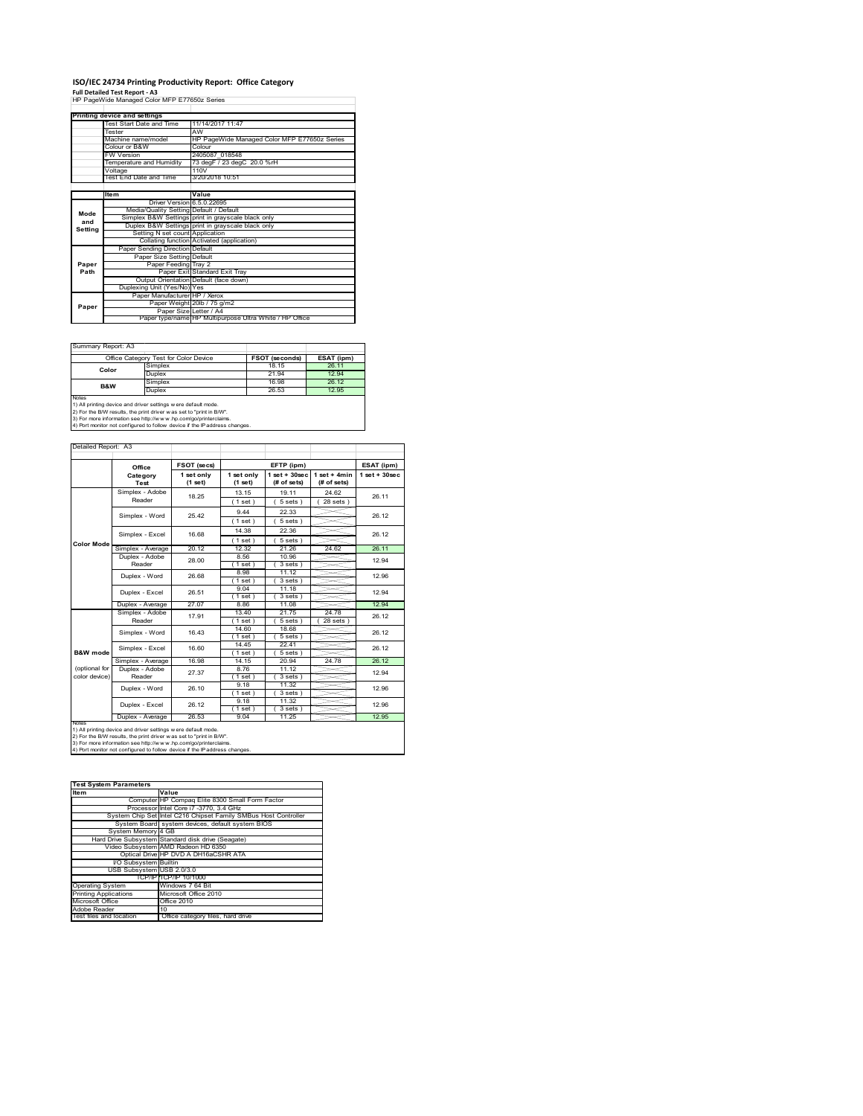## **ISO/IEC 24734 Printing Productivity Report: Office Category**

**Full Detailed Test Report ‐ A3** HP PageWide Managed Color MFP E77650z Series

|         | Printing device and settings            |                                                         |
|---------|-----------------------------------------|---------------------------------------------------------|
|         | Test Start Date and Time                | 11/14/2017 11:47                                        |
|         | Tester                                  | AW                                                      |
|         | Machine name/model                      | HP PageWide Managed Color MFP E77650z Series            |
|         | Colour or B&W                           | Colour                                                  |
|         | FW Version                              | 2405087 018548                                          |
|         | Temperature and Humidity                | 73 deg F / 23 deg C 20.0 %rH                            |
|         | Voltage                                 | 110V                                                    |
|         | Test End Date and Time                  | 3/20/2018 10:51                                         |
|         |                                         |                                                         |
|         | <b>Item</b>                             | Value                                                   |
|         | Driver Version 6.5.0.22695              |                                                         |
| Mode    | Media/Quality Setting Default / Default |                                                         |
| and     |                                         | Simplex B&W Settings print in grayscale black only      |
| Setting |                                         | Duplex B&W Settings print in grayscale black only       |
|         | Setting N set count Application         |                                                         |
|         |                                         | Collating function Activated (application)              |
|         | Paper Sending Direction Default         |                                                         |
|         | Paper Size Setting Default              |                                                         |
| Paper   | Paper Feeding Tray 2                    |                                                         |
| Path    |                                         | Paper Exit Standard Exit Tray                           |
|         |                                         | Output Orientation Default (face down)                  |
|         | Duplexing Unit (Yes/No) Yes             |                                                         |
|         | Paper Manufacturer HP / Xerox           |                                                         |
| Paper   |                                         | Paper Weight 20lb / 75 g/m2                             |
|         | Paper Size Letter / A4                  |                                                         |
|         |                                         | Paper type/name HP Multipurpose Ultra White / HP Office |

Ī.

Summary Report: A3

| $U$ ullilleiv includit. Av |                                                                                                                                       |                       |            |
|----------------------------|---------------------------------------------------------------------------------------------------------------------------------------|-----------------------|------------|
|                            | Office Category Test for Color Device                                                                                                 | <b>FSOT (seconds)</b> | ESAT (ipm) |
| Color                      | Simplex                                                                                                                               | 18 15                 | 26.11      |
|                            | Duplex                                                                                                                                | 21.94                 | 12.94      |
| B&W                        | Simplex                                                                                                                               | 16.98                 | 26.12      |
|                            | Duplex                                                                                                                                | 26.53                 | 12.95      |
| <b>Notes</b>               | 1) All printing device and driver settings w ere default mode.<br>2) For the B/W results, the print driver was set to "print in B/W". |                       |            |

2) For the B/W results, the print driver w as set to "print in B/W".<br>3) For more information see http://w w w .hp.com/go/printerclaims.<br>4) Port monitor not configured to follow device if the IP address changes.

| Detailed Report: A3 |  |  |
|---------------------|--|--|
|                     |  |  |

|                   | Office                                                                                                                                                                                                                                                                                 | FSOT (secs)           |                       | EFTP (ipm)                     |                               | ESAT (ipm)         |  |
|-------------------|----------------------------------------------------------------------------------------------------------------------------------------------------------------------------------------------------------------------------------------------------------------------------------------|-----------------------|-----------------------|--------------------------------|-------------------------------|--------------------|--|
|                   | Category<br>Test                                                                                                                                                                                                                                                                       | 1 set only<br>(1 set) | 1 set only<br>(1 set) | $1$ set + 30sec<br>(# of sets) | $1$ set + 4min<br>(# of sets) | $1$ set + $30$ sec |  |
|                   | Simplex - Adobe                                                                                                                                                                                                                                                                        | 18.25                 | 13.15                 | 19 11                          | 24.62                         | 26.11              |  |
|                   | Reader                                                                                                                                                                                                                                                                                 |                       | (1 set)               | 5 sets                         | 28 sets 1                     |                    |  |
|                   | Simplex - Word                                                                                                                                                                                                                                                                         | 25.42                 | 944                   | 22.33                          |                               | 26.12              |  |
|                   |                                                                                                                                                                                                                                                                                        |                       | $1$ set $)$           | $5 sets$ )                     |                               |                    |  |
|                   | Simplex - Excel                                                                                                                                                                                                                                                                        | 16.68                 | 14.38                 | 22.36                          |                               | 26.12              |  |
| <b>Color Mode</b> |                                                                                                                                                                                                                                                                                        |                       | $'1$ set)             | 5 sets                         |                               |                    |  |
|                   | Simplex - Average                                                                                                                                                                                                                                                                      | 20 12                 | 12.32                 | 21.26                          | 24.62                         | 26 11              |  |
|                   | Duplex - Adobe                                                                                                                                                                                                                                                                         | 28.00                 | 8.56                  | 10.96                          |                               | 12.94              |  |
|                   | Reader                                                                                                                                                                                                                                                                                 |                       | $1$ set $)$           | 3 sets)                        |                               |                    |  |
|                   | Duplex - Word                                                                                                                                                                                                                                                                          | 26.68                 | 8.98                  | 11 12                          |                               | 12.96              |  |
|                   |                                                                                                                                                                                                                                                                                        |                       | 1 set                 | 3 sets)                        |                               |                    |  |
|                   | Duplex - Excel                                                                                                                                                                                                                                                                         | 26.51                 | 9.04                  | 11.18                          |                               | 12.94              |  |
|                   |                                                                                                                                                                                                                                                                                        |                       | $1$ set)              | 3 sets)                        |                               |                    |  |
|                   | Duplex - Average                                                                                                                                                                                                                                                                       | 27.07                 | 8.86                  | 11.08                          |                               | 12.94              |  |
|                   | Simplex - Adobe                                                                                                                                                                                                                                                                        | 17.91                 | 13.40                 | 21.75                          | 24.78                         | 26.12              |  |
|                   | Reader                                                                                                                                                                                                                                                                                 |                       | 1 set                 | 5 sets                         | 28 sets                       |                    |  |
|                   | Simplex - Word                                                                                                                                                                                                                                                                         | 16.43                 | 14.60                 | 18.68                          |                               | 26.12              |  |
|                   |                                                                                                                                                                                                                                                                                        |                       | $1$ set)              | 5 sets                         |                               |                    |  |
|                   | Simplex - Excel                                                                                                                                                                                                                                                                        | 16.60                 | 14.45                 | 22.41                          |                               | 26.12              |  |
| B&W mode          |                                                                                                                                                                                                                                                                                        |                       | $1$ set)              | 5 sets)                        |                               |                    |  |
|                   | Simplex - Average                                                                                                                                                                                                                                                                      | 16.98                 | 14.15                 | 20.94                          | 24.78                         | 26.12              |  |
| (optional for     | Duplex - Adobe                                                                                                                                                                                                                                                                         | 27.37                 | 8.76                  | 11.12                          |                               | 12.94              |  |
| color device)     | Reader                                                                                                                                                                                                                                                                                 |                       | (1 set)               | 3 sets                         |                               |                    |  |
|                   | Duplex - Word                                                                                                                                                                                                                                                                          | 26.10                 | 9.18                  | 11.32                          |                               | 12.96              |  |
|                   |                                                                                                                                                                                                                                                                                        |                       | $1$ set)              | 3 sets                         |                               |                    |  |
|                   | Duplex - Excel                                                                                                                                                                                                                                                                         | 26.12                 | 9 18                  | 11.32                          |                               | 12.96              |  |
|                   |                                                                                                                                                                                                                                                                                        |                       | $1$ set)              | 3 sets                         |                               |                    |  |
| <b>NOtes</b>      | Duplex - Average                                                                                                                                                                                                                                                                       | 26.53                 | 9.04                  | 11.25                          |                               | 12.95              |  |
|                   | 1) All printing device and driver settings w ere default mode.<br>2) For the B/W results, the print driver was set to "print in B/W".<br>3) For more information see http://www.hp.com/go/printerclaims.<br>4) Port monitor not configured to follow device if the IP address changes. |                       |                       |                                |                               |                    |  |

| <b>Test System Parameters</b> |                                                                 |
|-------------------------------|-----------------------------------------------------------------|
| <b>Item</b>                   | Value                                                           |
|                               | Computer HP Compag Elite 8300 Small Form Factor                 |
|                               | Processor Intel Core i7 -3770, 3.4 GHz                          |
|                               | System Chip Set Intel C216 Chipset Family SMBus Host Controller |
|                               | System Board system devices, default system BIOS                |
| System Memory 4 GB            |                                                                 |
|                               | Hard Drive Subsystem Standard disk drive (Seagate)              |
|                               | Video Subsystem AMD Radeon HD 6350                              |
|                               | Optical Drive HP DVD A DH16aCSHR ATA                            |
| I/O Subsystem Builtin         |                                                                 |
| USB Subsystem USB 2.0/3.0     |                                                                 |
|                               | TCP/IPITCP/IP 10/1000                                           |
| <b>Operating System</b>       | Windows 7 64 Bit                                                |
| <b>Printing Applications</b>  | Microsoft Office 2010                                           |
| Microsoft Office              | Office 2010                                                     |
| Adobe Reader                  | 10                                                              |
| Test files and location       | Office category files, hard drive                               |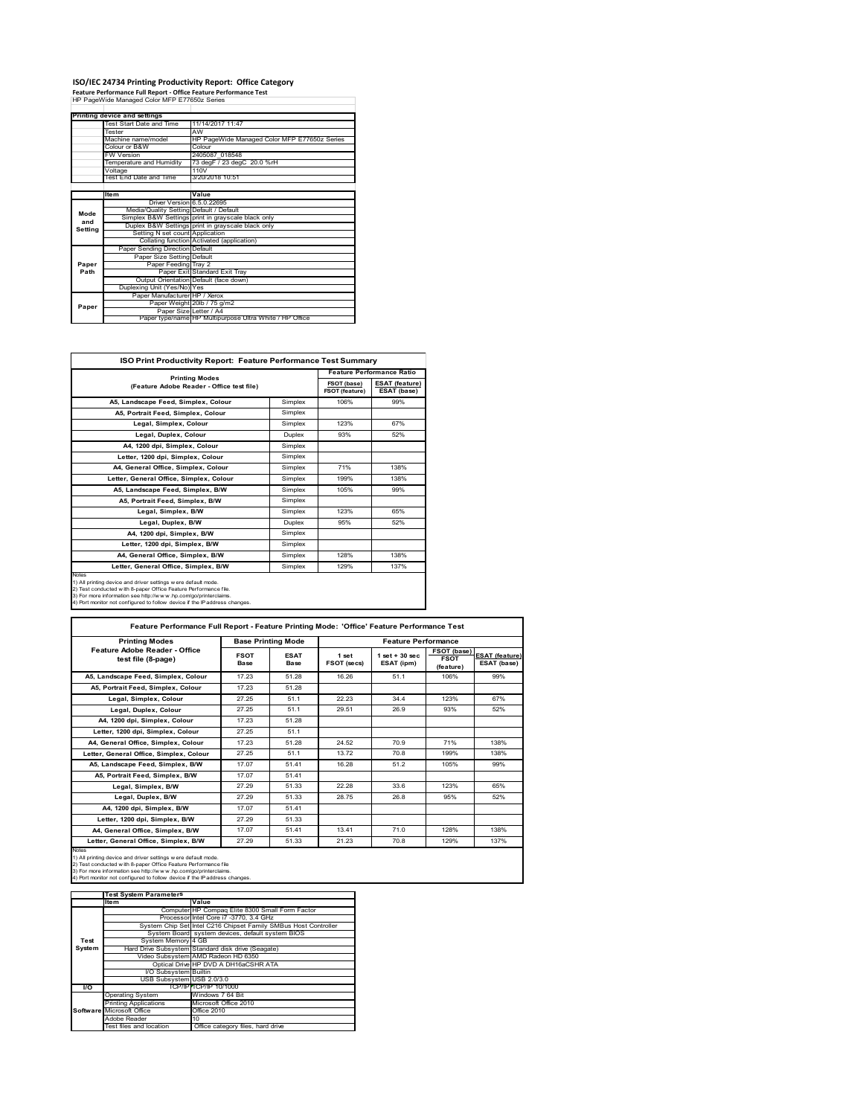# **ISO/IEC 24734 Printing Productivity Report: Office Category Feature Performance Full Report ‐ Office Feature Performance Test** HP PageWide Managed Color MFP E77650z Series

|         | <b>Printing device and settings</b>     |                                                         |
|---------|-----------------------------------------|---------------------------------------------------------|
|         | Test Start Date and Time                | 11/14/2017 11:47                                        |
|         | Tester                                  | AW                                                      |
|         | Machine name/model                      | HP PageWide Managed Color MFP E77650z Series            |
|         | Colour or B&W                           | Colour                                                  |
|         | <b>FW Version</b>                       | 2405087 018548                                          |
|         | Temperature and Humidity                | 73 degF / 23 degC 20.0 %rH                              |
|         | Voltage                                 | 110V                                                    |
|         | Test End Date and Time                  | 3/20/2018 10:51                                         |
|         |                                         |                                                         |
|         | <b>Item</b>                             | Value                                                   |
|         | Driver Version 6.5.0.22695              |                                                         |
| Mode    | Media/Quality Setting Default / Default |                                                         |
| and     |                                         | Simplex B&W Settings print in grayscale black only      |
|         |                                         | Duplex B&W Settings print in grayscale black only       |
| Setting | Setting N set count Application         |                                                         |
|         |                                         | Collating function Activated (application)              |
|         | Paper Sending Direction Default         |                                                         |
|         | Paper Size Setting Default              |                                                         |
| Paper   | Paper Feeding Tray 2                    |                                                         |
| Path    |                                         | Paper Exit Standard Exit Tray                           |
|         |                                         | Output Orientation Default (face down)                  |
|         | Duplexing Unit (Yes/No) Yes             |                                                         |
|         | Paper Manufacturer HP / Xerox           |                                                         |
| Paper   |                                         | Paper Weight 20lb / 75 g/m2                             |
|         | Paper Size Letter / A4                  |                                                         |
|         |                                         | Paper type/name HP Multipurpose Ultra White / HP Office |

| <b>ISO Print Productivity Report: Feature Performance Test Summary</b>                                                                                                                                                                                                                      |               |                                  |                                      |  |
|---------------------------------------------------------------------------------------------------------------------------------------------------------------------------------------------------------------------------------------------------------------------------------------------|---------------|----------------------------------|--------------------------------------|--|
| <b>Printing Modes</b>                                                                                                                                                                                                                                                                       |               | <b>Feature Performance Ratio</b> |                                      |  |
| (Feature Adobe Reader - Office test file)                                                                                                                                                                                                                                                   |               | FSOT (base)<br>FSOT (feature)    | <b>ESAT (feature)</b><br>ESAT (base) |  |
| A5. Landscape Feed. Simplex. Colour                                                                                                                                                                                                                                                         | Simplex       | 106%                             | 99%                                  |  |
| A5. Portrait Feed. Simplex. Colour                                                                                                                                                                                                                                                          | Simplex       |                                  |                                      |  |
| Legal, Simplex, Colour                                                                                                                                                                                                                                                                      | Simplex       | 123%                             | 67%                                  |  |
| Legal, Duplex, Colour                                                                                                                                                                                                                                                                       | <b>Duplex</b> | 93%                              | 52%                                  |  |
| A4, 1200 dpi, Simplex, Colour                                                                                                                                                                                                                                                               | Simplex       |                                  |                                      |  |
| Letter, 1200 dpi, Simplex, Colour                                                                                                                                                                                                                                                           | Simplex       |                                  |                                      |  |
| A4, General Office, Simplex, Colour                                                                                                                                                                                                                                                         | Simplex       | 71%                              | 138%                                 |  |
| Letter, General Office, Simplex, Colour                                                                                                                                                                                                                                                     | Simplex       | 199%                             | 138%                                 |  |
| A5, Landscape Feed, Simplex, B/W                                                                                                                                                                                                                                                            | Simplex       | 105%                             | 99%                                  |  |
| A5, Portrait Feed, Simplex, B/W                                                                                                                                                                                                                                                             | Simplex       |                                  |                                      |  |
| Legal, Simplex, B/W                                                                                                                                                                                                                                                                         | Simplex       | 123%                             | 65%                                  |  |
| Legal, Duplex, B/W                                                                                                                                                                                                                                                                          | Duplex        | 95%                              | 52%                                  |  |
| A4, 1200 dpi, Simplex, B/W                                                                                                                                                                                                                                                                  | Simplex       |                                  |                                      |  |
| Letter, 1200 dpi, Simplex, B/W                                                                                                                                                                                                                                                              | Simplex       |                                  |                                      |  |
| A4, General Office, Simplex, B/W                                                                                                                                                                                                                                                            | Simplex       | 128%                             | 138%                                 |  |
| Letter, General Office, Simplex, B/W                                                                                                                                                                                                                                                        | Simplex       | 129%                             | 137%                                 |  |
| Notes<br>1) All printing device and driver settings w ere default mode.<br>2) Test conducted with 8-paper Office Feature Performance file.<br>3) For more information see http://www.hp.com/go/printerclaims.<br>4) Port monitor not configured to follow device if the IP address changes. |               |                                  |                                      |  |

| <b>Printing Modes</b>                               | <b>Base Printing Mode</b> |                            | <b>Feature Performance</b> |                                  |                                         |                                      |
|-----------------------------------------------------|---------------------------|----------------------------|----------------------------|----------------------------------|-----------------------------------------|--------------------------------------|
| Feature Adobe Reader - Office<br>test file (8-page) | <b>FSOT</b><br>Base       | <b>ESAT</b><br><b>Base</b> | 1 set<br>FSOT (secs)       | $1$ set $+30$ sec.<br>ESAT (ipm) | FSOT (base)<br><b>FSOT</b><br>(feature) | <b>ESAT (feature)</b><br>ESAT (base) |
| A5. Landscape Feed. Simplex. Colour                 | 17 23                     | 51 28                      | 16.26                      | 51.1                             | 106%                                    | 99%                                  |
| A5. Portrait Feed. Simplex. Colour                  | 17.23                     | 51.28                      |                            |                                  |                                         |                                      |
| Legal, Simplex, Colour                              | 27 25                     | 51.1                       | 22.23                      | 34 4                             | 123%                                    | 67%                                  |
| Legal, Duplex, Colour                               | 27 25                     | 51.1                       | 29.51                      | 26.9                             | 93%                                     | 52%                                  |
| A4, 1200 dpi, Simplex, Colour                       | 17.23                     | 51.28                      |                            |                                  |                                         |                                      |
| Letter, 1200 dpi, Simplex, Colour                   | 27 25                     | 51.1                       |                            |                                  |                                         |                                      |
| A4. General Office. Simplex. Colour                 | 17.23                     | 51.28                      | 24.52                      | 70.9                             | 71%                                     | 138%                                 |
| Letter, General Office, Simplex, Colour             | 27.25                     | 51.1                       | 13.72                      | 70.8                             | 199%                                    | 138%                                 |
| A5, Landscape Feed, Simplex, B/W                    | 17.07                     | 51.41                      | 16.28                      | 51.2                             | 105%                                    | 99%                                  |
| A5. Portrait Feed. Simplex. B/W                     | 17.07                     | 51 41                      |                            |                                  |                                         |                                      |
| Legal, Simplex, B/W                                 | 27 29                     | 51.33                      | 22.28                      | 33.6                             | 123%                                    | 65%                                  |
| Legal, Duplex, B/W                                  | 27 29                     | 51 33                      | 28 75                      | 26.8                             | 95%                                     | 52%                                  |
| A4. 1200 dpi. Simplex, B/W                          | 17.07                     | 51.41                      |                            |                                  |                                         |                                      |
| Letter, 1200 dpi, Simplex, B/W                      | 27.29                     | 51 33                      |                            |                                  |                                         |                                      |
| A4. General Office. Simplex. B/W                    | 17.07                     | 51 41                      | 13 41                      | 71.0                             | 128%                                    | 138%                                 |
| Letter, General Office, Simplex, B/W                | 27.29                     | 51.33                      | 21.23                      | 70.8                             | 129%                                    | 137%                                 |

Notes<br>1) All printing device and driver settings were default mode.<br>2) Test conducted with 8-paper Office Feature Performance file<br>3) For more information see http://www.hp.com/go/printerclaims.<br>4) Por monitor not configur

|               | <b>Test System Parameters</b> |                                                                 |
|---------------|-------------------------------|-----------------------------------------------------------------|
|               | Item                          | Value                                                           |
|               |                               | Computer HP Compag Elite 8300 Small Form Factor                 |
|               |                               | Processor Intel Core i7 -3770, 3.4 GHz                          |
|               |                               | System Chip Set Intel C216 Chipset Family SMBus Host Controller |
|               |                               | System Board system devices, default system BIOS                |
| Test          | System Memory 4 GB            |                                                                 |
| <b>System</b> |                               | Hard Drive Subsystem Standard disk drive (Seagate)              |
|               |                               | Video Subsystem AMD Radeon HD 6350                              |
|               |                               | Optical Drive HP DVD A DH16aCSHR ATA                            |
|               | I/O Subsystem Builtin         |                                                                 |
|               | USB Subsystem USB 2.0/3.0     |                                                                 |
| <b>VO</b>     |                               | TCP/IPFTCP/IP 10/1000                                           |
|               | <b>Operating System</b>       | Windows 7 64 Bit                                                |
|               | <b>Printing Applications</b>  | Microsoft Office 2010                                           |
|               | Software Microsoft Office     | Office 2010                                                     |
|               | Adobe Reader                  | $10^{1}$                                                        |
|               | Test files and location       | Office category files, hard drive                               |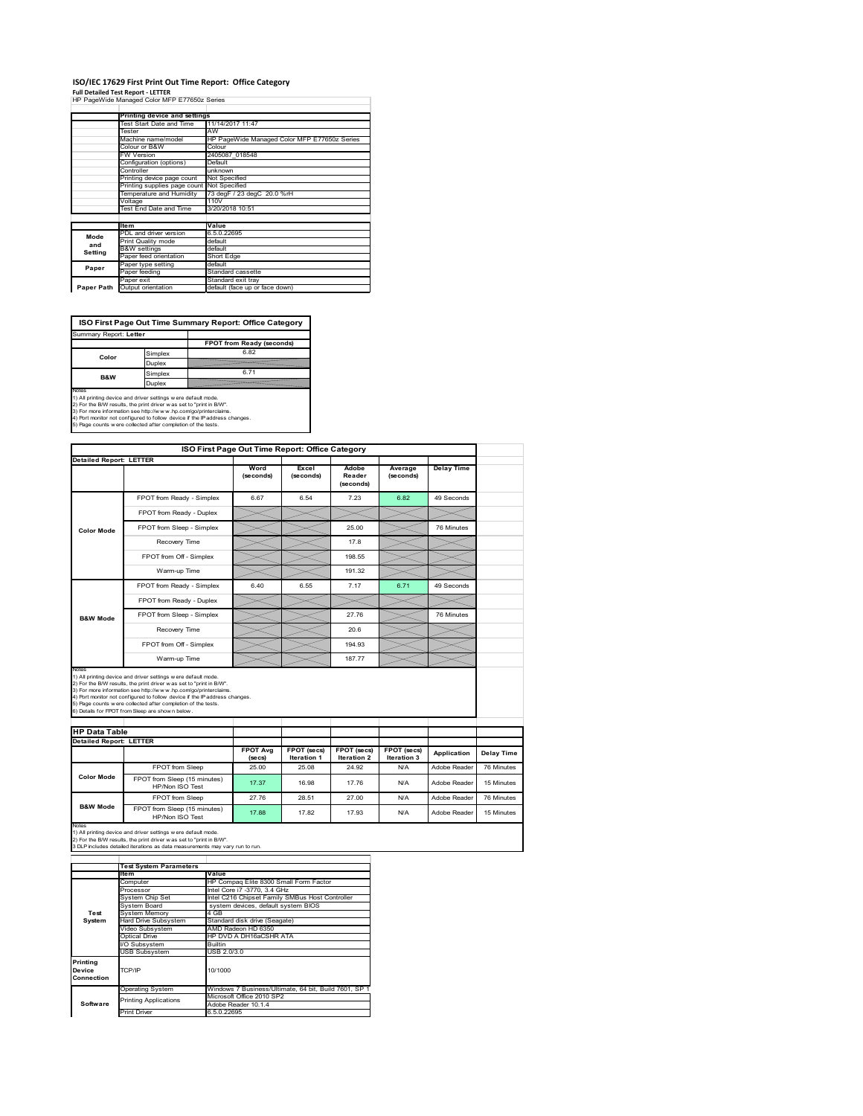## **ISO/IEC 17629 First Print Out Time Report: Office Category**

**Full Detailed Test Report ‐ LETTER** HP PageWide Managed Color MFP E77650z Series

|            | Printing device and settings               |                                              |
|------------|--------------------------------------------|----------------------------------------------|
|            | Test Start Date and Time                   | 11/14/2017 11:47                             |
|            | Tester                                     | AW                                           |
|            | Machine name/model                         | HP PageWide Managed Color MFP E77650z Series |
|            | Colour or B&W                              | Colour                                       |
|            | <b>FW Version</b>                          | 2405087 018548                               |
|            | Configuration (options)                    | Default                                      |
|            | Controller                                 | unknown                                      |
|            | Printing device page count                 | Not Specified                                |
|            | Printing supplies page count Not Specified |                                              |
|            | Temperature and Humidity                   | 73 degF / 23 degC 20.0 %rH                   |
|            | Voltage                                    | 110V                                         |
|            | Test End Date and Time                     | 3/20/2018 10:51                              |
|            |                                            |                                              |
|            | <b>Item</b>                                | Value                                        |
| Mode       | PDL and driver version                     | 6.5.0.22695                                  |
| and        | Print Quality mode                         | default                                      |
|            | <b>B&amp;W</b> settings                    | default                                      |
| Setting    | Paper feed orientation                     | Short Edge                                   |
| Paper      | Paper type setting                         | default                                      |
|            | Paper feeding                              | Standard cassette                            |
|            | Paper exit                                 | Standard exit tray                           |
| Paper Path | Output orientation                         | default (face up or face down)               |

ń

**ISO First Page Out Time Summary Report: Office Category**

| Summary Report: Letter |         |                           |
|------------------------|---------|---------------------------|
|                        |         | FPOT from Ready (seconds) |
| Color                  | Simplex | 6.82                      |
|                        | Duplex  |                           |
| <b>B&amp;W</b>         | Simplex | 6.71                      |
|                        | Duplex  |                           |
| Notes                  |         |                           |

Notes<br>1) All printing device and driver settings were default mode.<br>2) For the BW results, the print driver was set to "print in BW".<br>3) For more information see http://www.hp.com/golprinterclaims.<br>4) Port montor not confi

|                                |                                                                                                                                                                                                                                                                                                                                                                                                             | ISO First Page Out Time Report: Office Category |                                   |                                   |                            |                   |
|--------------------------------|-------------------------------------------------------------------------------------------------------------------------------------------------------------------------------------------------------------------------------------------------------------------------------------------------------------------------------------------------------------------------------------------------------------|-------------------------------------------------|-----------------------------------|-----------------------------------|----------------------------|-------------------|
| <b>Detailed Report: LETTER</b> |                                                                                                                                                                                                                                                                                                                                                                                                             | Word<br>(seconds)                               | Excel<br>(seconds)                | Adobe<br>Reader<br>(seconds)      | Average<br>(seconds)       | <b>Delay Time</b> |
|                                | FPOT from Ready - Simplex                                                                                                                                                                                                                                                                                                                                                                                   | 6.67                                            | 6.54                              | 7.23                              | 6.82                       | 49 Seconds        |
|                                | FPOT from Ready - Duplex                                                                                                                                                                                                                                                                                                                                                                                    |                                                 |                                   |                                   |                            |                   |
| <b>Color Mode</b>              | FPOT from Sleep - Simplex                                                                                                                                                                                                                                                                                                                                                                                   |                                                 |                                   | 25.00                             |                            | 76 Minutes        |
|                                | Recovery Time                                                                                                                                                                                                                                                                                                                                                                                               |                                                 |                                   | 17.8                              |                            |                   |
|                                | FPOT from Off - Simplex                                                                                                                                                                                                                                                                                                                                                                                     |                                                 |                                   | 198.55                            |                            |                   |
|                                | Warm-up Time                                                                                                                                                                                                                                                                                                                                                                                                |                                                 |                                   | 191.32                            |                            |                   |
|                                | FPOT from Ready - Simplex                                                                                                                                                                                                                                                                                                                                                                                   | 6.40                                            | 6.55                              | 7.17                              | 6.71                       | 49 Seconds        |
|                                | FPOT from Ready - Duplex                                                                                                                                                                                                                                                                                                                                                                                    |                                                 |                                   |                                   |                            |                   |
| <b>B&amp;W Mode</b>            | FPOT from Sleep - Simplex                                                                                                                                                                                                                                                                                                                                                                                   |                                                 |                                   | 27.76                             |                            | 76 Minutes        |
|                                |                                                                                                                                                                                                                                                                                                                                                                                                             |                                                 |                                   |                                   |                            |                   |
|                                | Recovery Time                                                                                                                                                                                                                                                                                                                                                                                               |                                                 |                                   | 20.6                              |                            |                   |
|                                | FPOT from Off - Simplex                                                                                                                                                                                                                                                                                                                                                                                     |                                                 |                                   | 194 93                            |                            |                   |
| Notes                          | Warm-up Time                                                                                                                                                                                                                                                                                                                                                                                                |                                                 |                                   | 187.77                            |                            |                   |
| <b>HP Data Table</b>           | 1) All printing device and driver settings w ere default mode.<br>2) For the B/W results, the print driver was set to "print in B/W".<br>3) For more information see http://www.hp.com/go/printerclaims.<br>4) Port monitor not configured to follow device if the IP address changes.<br>5) Page counts w ere collected after completion of the tests.<br>6) Details for FPOT from Sleep are show n below. |                                                 |                                   |                                   |                            |                   |
|                                |                                                                                                                                                                                                                                                                                                                                                                                                             |                                                 |                                   |                                   |                            |                   |
| <b>Detailed Report: LETTER</b> |                                                                                                                                                                                                                                                                                                                                                                                                             | <b>FPOT Avg</b><br>(se cs)                      | FPOT (secs)<br><b>Iteration 1</b> | FPOT (secs)<br><b>Iteration 2</b> | FPOT (secs)<br>Iteration 3 | Application       |
|                                | FPOT from Sleep                                                                                                                                                                                                                                                                                                                                                                                             | 25.00                                           | 25.08                             | 24.92                             | N/A                        | Adobe Reader      |
| <b>Color Mode</b>              | FPOT from Sleep (15 minutes)<br>HP/Non ISO Test                                                                                                                                                                                                                                                                                                                                                             | 17.37                                           | 16.98                             | 17.76                             | N/A                        | Adobe Reader      |
| <b>B&amp;W Mode</b>            | FPOT from Sleep                                                                                                                                                                                                                                                                                                                                                                                             | 27.76                                           | 28.51                             | 27.00                             | N/A                        | Adobe Reader      |

Notes<br>1) All printing device and driver settings w ere default mode.<br>2) For the B/W results, the print driver w as set to "print in B/W".<br>3 DLP includes detailed iterations as data measurements may vary run to run.

|            | <b>Test System Parameters</b> |                                                       |  |  |  |
|------------|-------------------------------|-------------------------------------------------------|--|--|--|
|            | Value<br><b>Item</b>          |                                                       |  |  |  |
|            | Computer                      | HP Compaq Elite 8300 Small Form Factor                |  |  |  |
|            | Processor                     | Intel Core i7 -3770, 3.4 GHz                          |  |  |  |
|            | System Chip Set               | Intel C216 Chipset Family SMBus Host Controller       |  |  |  |
|            | System Board                  | system devices, default system BIOS                   |  |  |  |
| Test       | <b>System Memory</b>          | 4 GB                                                  |  |  |  |
| System     | <b>Hard Drive Subsystem</b>   | Standard disk drive (Seagate)                         |  |  |  |
|            | Video Subsystem               | AMD Radeon HD 6350                                    |  |  |  |
|            | Optical Drive                 | HP DVD A DH16aCSHR ATA                                |  |  |  |
|            | I/O Subsystem                 | <b>Builtin</b>                                        |  |  |  |
|            | <b>USB Subsystem</b>          | USB 2.0/3.0                                           |  |  |  |
| Printing   |                               |                                                       |  |  |  |
| Device     | TCP/IP                        | 10/1000                                               |  |  |  |
| Connection |                               |                                                       |  |  |  |
|            | <b>Operating System</b>       | Windows 7 Business/Ultimate, 64 bit, Build 7601, SP 1 |  |  |  |
|            | <b>Printing Applications</b>  | Microsoft Office 2010 SP2                             |  |  |  |
| Software   |                               | Adobe Reader 10.1.4                                   |  |  |  |
|            | <b>Print Driver</b>           | 6.5.0.22695                                           |  |  |  |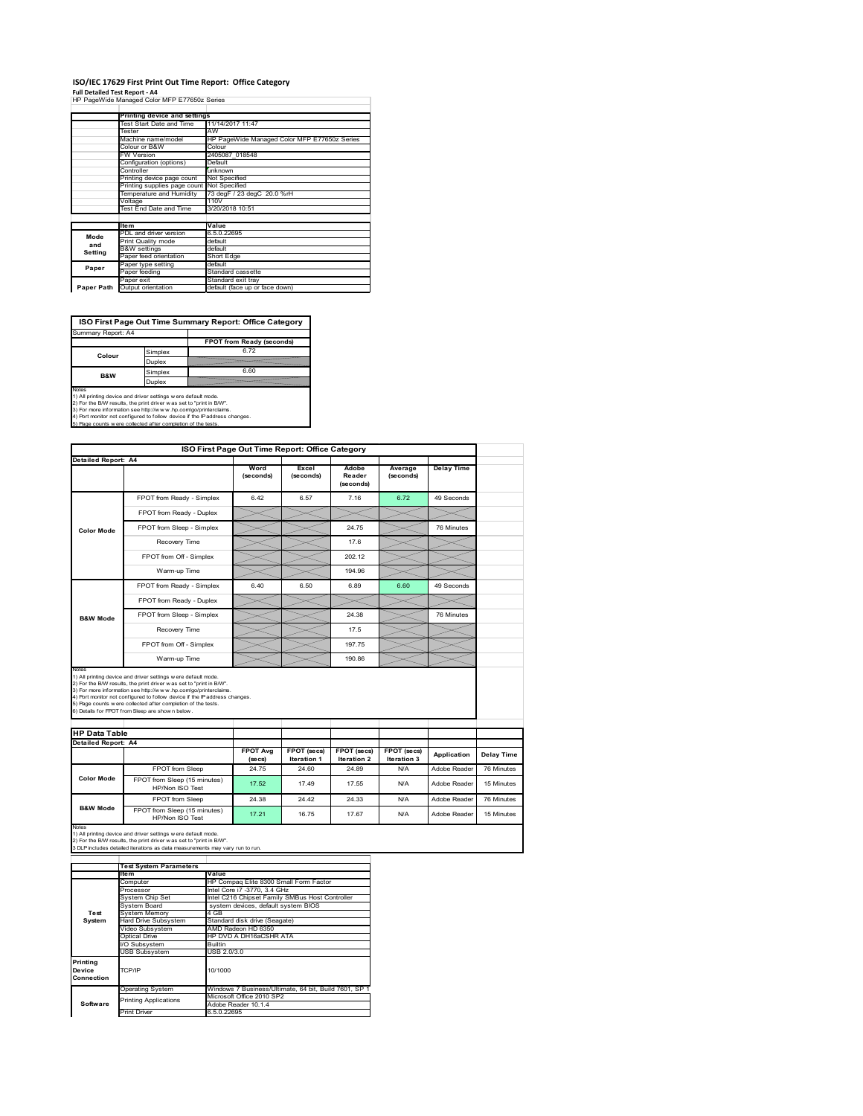## **ISO/IEC 17629 First Print Out Time Report: Office Category**

**Full Detailed Test Report ‐ A4** HP PageWide Managed Color MFP E77650z Series

|            | Printing device and settings               |                                              |
|------------|--------------------------------------------|----------------------------------------------|
|            | Test Start Date and Time                   | 11/14/2017 11:47                             |
|            | Tester                                     | AW                                           |
|            | Machine name/model                         | HP PageWide Managed Color MFP E77650z Series |
|            | Colour or B&W                              | Colour                                       |
|            | FW Version                                 | 2405087 018548                               |
|            | Configuration (options)                    | Default                                      |
|            | Controller                                 | unknown                                      |
|            | Printing device page count                 | Not Specified                                |
|            | Printing supplies page count Not Specified |                                              |
|            | Temperature and Humidity                   | 73 degF / 23 degC 20.0 %rH                   |
|            | Voltage                                    | 110V                                         |
|            | Test End Date and Time                     | 3/20/2018 10:51                              |
|            |                                            |                                              |
|            | <b>Item</b>                                | Value                                        |
| Mode       | PDL and driver version                     | 6.5.0.22695                                  |
| and        | Print Quality mode                         | default                                      |
| Setting    | <b>B&amp;W</b> settings                    | default                                      |
|            | Paper feed orientation                     | Short Edge                                   |
| Paper      | Paper type setting                         | default                                      |
|            | Paper feeding                              | Standard cassette                            |
|            | Paper exit                                 | Standard exit tray                           |
| Paper Path | Output orientation                         | default (face up or face down)               |

**ISO First Page Out Time Summary Report: Office Category**

| FPOT from Ready (seconds)<br>6.72<br>Simplex<br>Colour<br>Duplex<br>6.60<br>Simplex<br><b>B&amp;W</b> | Summary Report: A4 |        |  |
|-------------------------------------------------------------------------------------------------------|--------------------|--------|--|
|                                                                                                       |                    |        |  |
|                                                                                                       |                    |        |  |
|                                                                                                       |                    |        |  |
|                                                                                                       |                    |        |  |
|                                                                                                       |                    | Duplex |  |

Notes<br>1) All printing device and driver settings were default mode.<br>2) For the BAV results, the print driver was set to "print in BAV".<br>3) For more information see http://www.hp.com/golprinterclaims.<br>4) Port monitor not co

| Detailed Report: A4                                  |                                                                                                                                                                                                                                                                                                                                                                                                             | Word<br>(seconds)          | Excel<br>(seconds)         | Adobe<br>Reader<br>(seconds)      | Average<br>(seconds)       | <b>Delay Time</b> |                          |
|------------------------------------------------------|-------------------------------------------------------------------------------------------------------------------------------------------------------------------------------------------------------------------------------------------------------------------------------------------------------------------------------------------------------------------------------------------------------------|----------------------------|----------------------------|-----------------------------------|----------------------------|-------------------|--------------------------|
|                                                      | FPOT from Ready - Simplex                                                                                                                                                                                                                                                                                                                                                                                   | 6.42                       | 6.57                       | 7.16                              | 6.72                       | 49 Seconds        |                          |
|                                                      | FPOT from Ready - Duplex                                                                                                                                                                                                                                                                                                                                                                                    |                            |                            |                                   |                            |                   |                          |
| Color Mode                                           | FPOT from Sleep - Simplex                                                                                                                                                                                                                                                                                                                                                                                   |                            |                            | 24 75                             |                            | 76 Minutes        |                          |
|                                                      | Recovery Time                                                                                                                                                                                                                                                                                                                                                                                               |                            |                            | 17.6                              |                            |                   |                          |
|                                                      | FPOT from Off - Simplex                                                                                                                                                                                                                                                                                                                                                                                     |                            |                            | 202.12                            |                            |                   |                          |
|                                                      | Warm-up Time                                                                                                                                                                                                                                                                                                                                                                                                |                            |                            | 194.96                            |                            |                   |                          |
|                                                      | FPOT from Ready - Simplex                                                                                                                                                                                                                                                                                                                                                                                   | 6.40                       | 6.50                       | 6.89                              | 6.60                       | 49 Seconds        |                          |
|                                                      | FPOT from Ready - Duplex                                                                                                                                                                                                                                                                                                                                                                                    |                            |                            |                                   |                            |                   |                          |
| <b>B&amp;W Mode</b>                                  | FPOT from Sleep - Simplex                                                                                                                                                                                                                                                                                                                                                                                   |                            |                            | 24.38                             |                            | 76 Minutes        |                          |
|                                                      | Recovery Time                                                                                                                                                                                                                                                                                                                                                                                               |                            |                            | 17.5                              |                            |                   |                          |
|                                                      |                                                                                                                                                                                                                                                                                                                                                                                                             |                            |                            |                                   |                            |                   |                          |
|                                                      | FPOT from Off - Simplex                                                                                                                                                                                                                                                                                                                                                                                     |                            |                            | 197 75                            |                            |                   |                          |
|                                                      | Warm-up Time                                                                                                                                                                                                                                                                                                                                                                                                |                            |                            | 190.86                            |                            |                   |                          |
| Notes<br><b>HP Data Table</b><br>Detailed Report: A4 | 1) All printing device and driver settings w ere default mode.<br>2) For the B/W results, the print driver was set to "print in B/W".<br>3) For more information see http://www.hp.com/go/printerclaims.<br>4) Port monitor not configured to follow device if the IP address changes.<br>5) Page counts w ere collected after completion of the tests.<br>6) Details for FPOT from Sleep are show n below. | <b>FPOT Avg</b><br>(se cs) | FPOT (secs)<br>Iteration 1 | FPOT (secs)<br><b>Iteration 2</b> | FPOT (secs)<br>Iteration 3 | Application       |                          |
|                                                      | FPOT from Sleep                                                                                                                                                                                                                                                                                                                                                                                             | 24.75                      | 24.60                      | 24.89                             | N/A                        | Adobe Reader      | Delay Time<br>76 Minutes |
| <b>Color Mode</b>                                    | FPOT from Sleep (15 minutes)<br>HP/Non ISO Test                                                                                                                                                                                                                                                                                                                                                             | 17.52                      | 17.49                      | 17.55                             | N/A                        | Adobe Reader      | 15 Minutes               |
| <b>B&amp;W Mode</b>                                  | FPOT from Sleep                                                                                                                                                                                                                                                                                                                                                                                             | 24.38                      | 24.42                      | 24.33                             | N/A                        | Adobe Reader      | 76 Minutes               |

|                                  | <b>Test System Parameters</b>           |                                                       |  |  |
|----------------------------------|-----------------------------------------|-------------------------------------------------------|--|--|
|                                  | Item                                    | Value                                                 |  |  |
|                                  | Computer                                | HP Compag Elite 8300 Small Form Factor                |  |  |
|                                  | Processor                               | Intel Core i7 -3770, 3.4 GHz                          |  |  |
|                                  | System Chip Set                         | Intel C216 Chipset Family SMBus Host Controller       |  |  |
|                                  | System Board                            | system devices, default system BIOS                   |  |  |
| Test                             | <b>System Memory</b>                    | 4 GB                                                  |  |  |
| System                           | Hard Drive Subsystem                    | Standard disk drive (Seagate)                         |  |  |
|                                  | Video Subsystem                         | AMD Radeon HD 6350                                    |  |  |
|                                  | Optical Drive<br>HP DVD A DH16aCSHR ATA |                                                       |  |  |
|                                  | <b>Builtin</b><br>I/O Subsystem         |                                                       |  |  |
|                                  | <b>USB Subsystem</b>                    | USB 2.0/3.0                                           |  |  |
| Printing<br>Device<br>Connection | TCP/IP                                  | 10/1000                                               |  |  |
|                                  | <b>Operating System</b>                 | Windows 7 Business/Ultimate, 64 bit, Build 7601, SP 1 |  |  |
|                                  | <b>Printing Applications</b>            | Microsoft Office 2010 SP2                             |  |  |
| Software                         |                                         | Adobe Reader 10.1.4                                   |  |  |
|                                  | <b>Print Driver</b>                     | 6.5.0.22695                                           |  |  |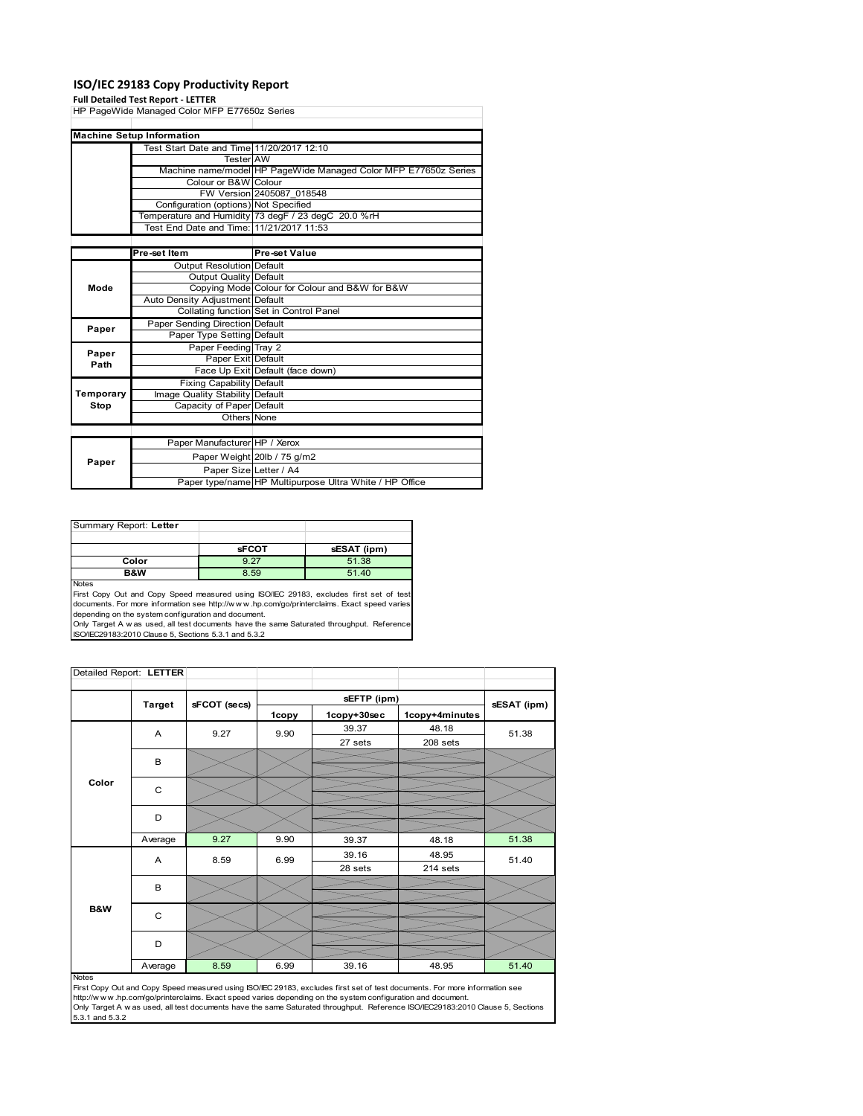## **ISO/IEC 29183 Copy Productivity Report**

#### **Full Detailed Test Report ‐ LETTER**

|               | . an betanca rest neport - LETTER            |                                                                 |
|---------------|----------------------------------------------|-----------------------------------------------------------------|
|               | HP PageWide Managed Color MFP E77650z Series |                                                                 |
|               |                                              |                                                                 |
|               | <b>Machine Setup Information</b>             |                                                                 |
|               | Test Start Date and Time 11/20/2017 12:10    |                                                                 |
|               | <b>Tester</b> AW                             |                                                                 |
|               |                                              | Machine name/model HP PageWide Managed Color MFP E77650z Series |
|               | Colour or B&W Colour                         |                                                                 |
|               |                                              | FW Version 2405087 018548                                       |
|               | Configuration (options) Not Specified        |                                                                 |
|               |                                              | Temperature and Humidity 73 degF / 23 degC 20.0 %rH             |
|               | Test End Date and Time: 11/21/2017 11:53     |                                                                 |
|               |                                              |                                                                 |
|               | Pre-set Item                                 | Pre-set Value                                                   |
|               | <b>Output Resolution Default</b>             |                                                                 |
|               | Output Quality Default                       |                                                                 |
| Mode          |                                              | Copying Mode Colour for Colour and B&W for B&W                  |
|               | Auto Density Adjustment Default              |                                                                 |
|               |                                              | Collating function Set in Control Panel                         |
|               | Paper Sending Direction Default              |                                                                 |
| Paper         | Paper Type Setting Default                   |                                                                 |
|               | Paper Feeding Tray 2                         |                                                                 |
| Paper<br>Path | Paper Exit Default                           |                                                                 |
|               |                                              | Face Up Exit Default (face down)                                |
|               | <b>Fixing Capability Default</b>             |                                                                 |
| Temporary     | Image Quality Stability Default              |                                                                 |
| Stop          | Capacity of Paper Default                    |                                                                 |
|               | Others None                                  |                                                                 |
|               |                                              |                                                                 |
|               | Paper Manufacturer HP / Xerox                |                                                                 |
|               |                                              | Paper Weight 20lb / 75 g/m2                                     |
| Paper         | Paper Size Letter / A4                       |                                                                 |
|               |                                              | Paper type/name HP Multipurpose Ultra White / HP Office         |

| Summary Report: Letter |              |             |
|------------------------|--------------|-------------|
|                        |              |             |
|                        | <b>sFCOT</b> | sESAT (ipm) |
| Color                  | 9.27         | 51.38       |
| B&W                    | 8.59         | 51.40       |
| <b>Noton</b>           |              |             |

Notes<br>First Copy Out and Copy Speed measured using ISO/IEC 29183, excludes first set of test<br>documents. For more information see http://www..hp.com/go/printerclaims. Exact speed varies

depending on the system configuration and document.<br>Only Target A w as used, all test documents have the same Saturated throughput. Reference<br>ISO/IEC29183:2010 Clause 5, Sections 5.3.1 and 5.3.2

| Detailed Report: LETTER |               |              |       |             |                |             |
|-------------------------|---------------|--------------|-------|-------------|----------------|-------------|
|                         |               |              |       | sEFTP (ipm) |                |             |
|                         | <b>Target</b> | sFCOT (secs) | 1copy | 1copy+30sec | 1copy+4minutes | sESAT (ipm) |
|                         | A             | 9.27         | 9.90  | 39.37       | 48.18          | 51.38       |
|                         |               |              |       | 27 sets     | 208 sets       |             |
|                         | B             |              |       |             |                |             |
| Color                   |               |              |       |             |                |             |
|                         | C             |              |       |             |                |             |
|                         | D             |              |       |             |                |             |
|                         |               |              |       |             |                |             |
|                         | Average       | 9.27         | 9.90  | 39.37       | 48.18          | 51.38       |
|                         | A             | 8.59         | 6.99  | 39.16       | 48.95          | 51.40       |
|                         |               |              |       | 28 sets     | 214 sets       |             |
|                         | B             |              |       |             |                |             |
|                         |               |              |       |             |                |             |
| B&W                     | C             |              |       |             |                |             |
|                         | D             |              |       |             |                |             |
|                         | Average       | 8.59         | 6.99  | 39.16       | 48.95          | 51.40       |

#### Notes

First Copy Out and Copy Speed measured using ISO/IEC 29183, excludes first set of test documents. For more information see<br>http://w w w.hp.com/go/printerclaims. Exact speed varies depending on the system configuration and 5.3.1 and 5.3.2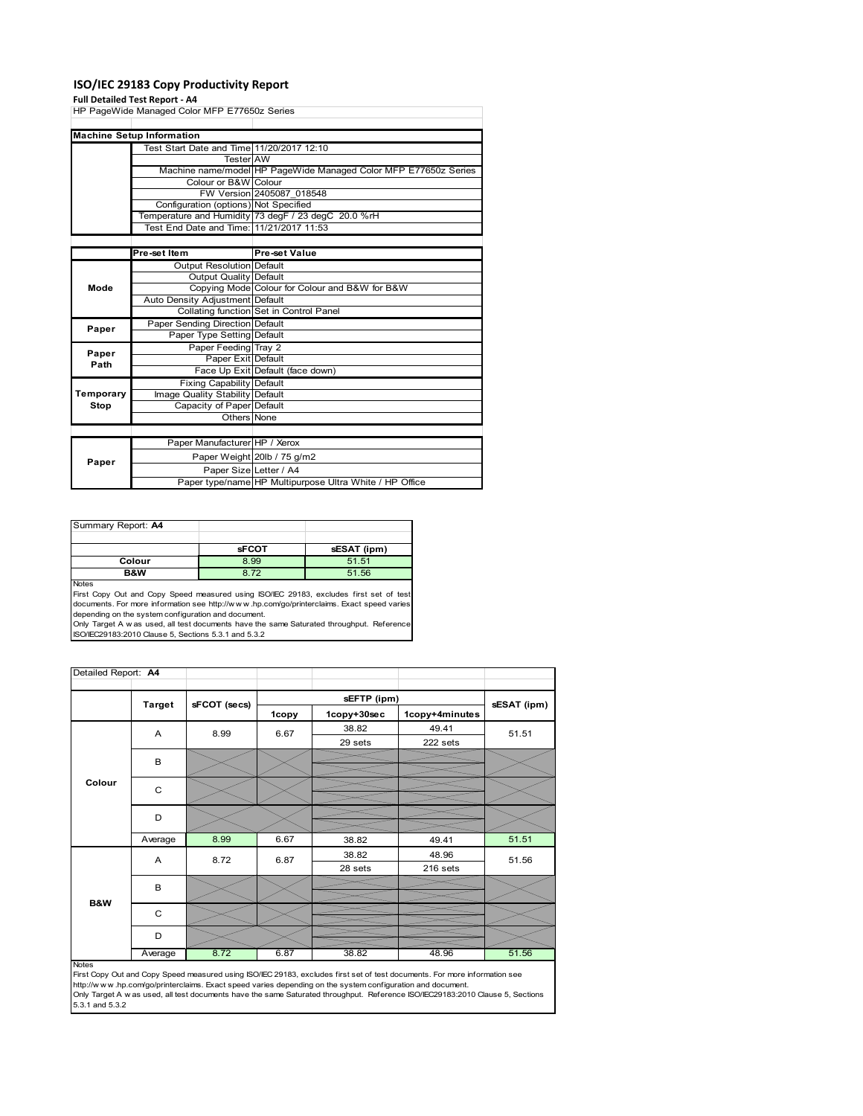## **ISO/IEC 29183 Copy Productivity Report**

#### **Full Detailed Test Report ‐ A4**

|           | HP PageWide Managed Color MFP E77650z Series |                                                                 |
|-----------|----------------------------------------------|-----------------------------------------------------------------|
|           |                                              |                                                                 |
|           | <b>Machine Setup Information</b>             |                                                                 |
|           | Test Start Date and Time 11/20/2017 12:10    |                                                                 |
|           | <b>Tester AW</b>                             |                                                                 |
|           |                                              | Machine name/model HP PageWide Managed Color MFP E77650z Series |
|           | Colour or B&W Colour                         |                                                                 |
|           |                                              | FW Version 2405087 018548                                       |
|           | Configuration (options) Not Specified        |                                                                 |
|           |                                              | Temperature and Humidity 73 degF / 23 degC 20.0 %rH             |
|           | Test End Date and Time: 11/21/2017 11:53     |                                                                 |
|           |                                              |                                                                 |
|           | Pre-set Item                                 | Pre-set Value                                                   |
|           | <b>Output Resolution Default</b>             |                                                                 |
|           | Output Quality Default                       |                                                                 |
| Mode      |                                              | Copying Mode Colour for Colour and B&W for B&W                  |
|           | Auto Density Adjustment Default              |                                                                 |
|           |                                              | Collating function Set in Control Panel                         |
| Paper     | Paper Sending Direction Default              |                                                                 |
|           | Paper Type Setting Default                   |                                                                 |
| Paper     | Paper Feeding Tray 2                         |                                                                 |
| Path      | Paper Exit Default                           |                                                                 |
|           |                                              | Face Up Exit Default (face down)                                |
|           | <b>Fixing Capability Default</b>             |                                                                 |
| Temporary | Image Quality Stability Default              |                                                                 |
| Stop      | Capacity of Paper Default                    |                                                                 |
|           | Others None                                  |                                                                 |
|           |                                              |                                                                 |
|           | Paper Manufacturer HP / Xerox                |                                                                 |
| Paper     |                                              | Paper Weight 20lb / 75 g/m2                                     |
|           | Paper Size Letter / A4                       |                                                                 |
|           |                                              | Paper type/name HP Multipurpose Ultra White / HP Office         |

| Summary Report: A4 |              |             |
|--------------------|--------------|-------------|
|                    |              |             |
|                    | <b>sFCOT</b> | sESAT (ipm) |
| Colour             | 8.99         | 51.51       |
| B&W                | 8.72         | 51.56       |
| <b>Nickon</b>      |              |             |

Notes<br>First Copy Out and Copy Speed measured using ISO/IEC 29183, excludes first set of test<br>documents. For more information see http://www.hp.com/go/printerclaims. Exact speed varies<br>depending on the system configuration

| Detailed Report: A4 |               |              |       |             |                |             |
|---------------------|---------------|--------------|-------|-------------|----------------|-------------|
|                     |               |              |       | sEFTP (ipm) |                |             |
|                     | <b>Target</b> | sFCOT (secs) | 1copy | 1copy+30sec | 1copy+4minutes | sESAT (ipm) |
|                     | Α             | 8.99         | 6.67  | 38.82       | 49.41          | 51.51       |
|                     |               |              |       | 29 sets     | 222 sets       |             |
|                     | B             |              |       |             |                |             |
|                     |               |              |       |             |                |             |
| Colour              | $\mathsf{C}$  |              |       |             |                |             |
|                     |               |              |       |             |                |             |
|                     | D             |              |       |             |                |             |
|                     |               |              |       |             |                |             |
|                     | Average       | 8.99         | 6.67  | 38.82       | 49.41          | 51.51       |
|                     | A             | 8.72         | 6.87  | 38.82       | 48.96          | 51.56       |
|                     |               |              |       | 28 sets     | 216 sets       |             |
|                     | B             |              |       |             |                |             |
| <b>B&amp;W</b>      |               |              |       |             |                |             |
|                     | C             |              |       |             |                |             |
|                     |               |              |       |             |                |             |
|                     | D             |              |       |             |                |             |
|                     | Average       | 8.72         | 6.87  | 38.82       | 48.96          | 51.56       |

Average 8.72 6.87 38.82 48.96 51.56<br>
First Copy Out and Copy Speed measured using ISO/IEC 29183, excludes first set of test documents. For more information see<br>
First://www.hp.com/go/printerclaims. Exact speed varies depen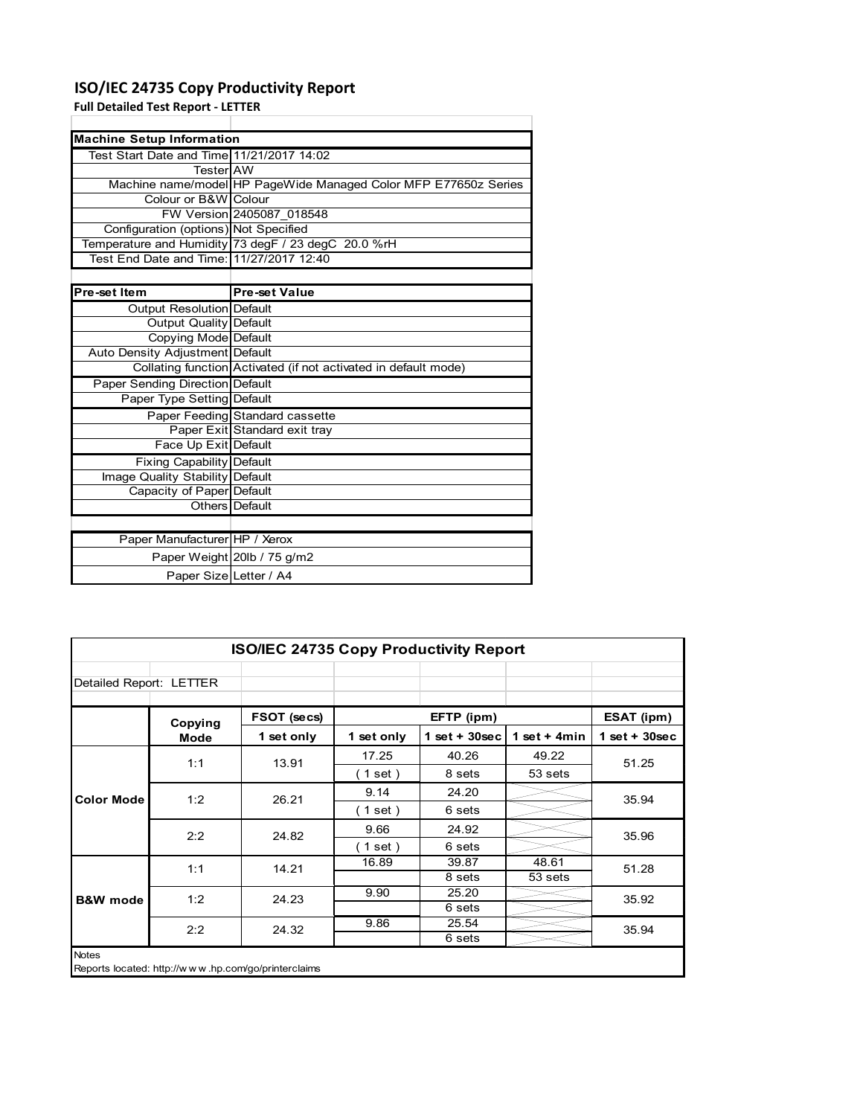## **ISO/IEC 24735 Copy Productivity Report**

Paper Weight 20lb / 75 g/m2 Paper Size Letter / A4

**Full Detailed Test Report ‐ LETTER**

| <b>Machine Setup Information</b>          |                                                                 |  |  |  |
|-------------------------------------------|-----------------------------------------------------------------|--|--|--|
| Test Start Date and Time 11/21/2017 14:02 |                                                                 |  |  |  |
| TesterIAW                                 |                                                                 |  |  |  |
|                                           | Machine name/model HP PageWide Managed Color MFP E77650z Series |  |  |  |
| Colour or B&W Colour                      |                                                                 |  |  |  |
|                                           | FW Version 2405087 018548                                       |  |  |  |
| Configuration (options) Not Specified     |                                                                 |  |  |  |
|                                           | Temperature and Humidity 73 degF / 23 degC 20.0 %rH             |  |  |  |
| Test End Date and Time: 11/27/2017 12:40  |                                                                 |  |  |  |
|                                           |                                                                 |  |  |  |
| Pre-set Item                              | <b>Pre-set Value</b>                                            |  |  |  |
| Output Resolution Default                 |                                                                 |  |  |  |
| <b>Output Quality Default</b>             |                                                                 |  |  |  |
| Copying Mode Default                      |                                                                 |  |  |  |
| Auto Density Adjustment Default           |                                                                 |  |  |  |
|                                           | Collating function Activated (if not activated in default mode) |  |  |  |
| Paper Sending Direction Default           |                                                                 |  |  |  |
| Paper Type Setting Default                |                                                                 |  |  |  |
|                                           | Paper Feeding Standard cassette                                 |  |  |  |
|                                           | Paper Exit Standard exit tray                                   |  |  |  |
| Face Up Exit Default                      |                                                                 |  |  |  |
| Fixing Capability Default                 |                                                                 |  |  |  |
| Image Quality Stability Default           |                                                                 |  |  |  |
| Capacity of Paper Default                 |                                                                 |  |  |  |
|                                           | Others Default                                                  |  |  |  |
|                                           |                                                                 |  |  |  |
| Paper Manufacturer HP / Xerox             |                                                                 |  |  |  |

|                         | <b>ISO/IEC 24735 Copy Productivity Report</b> |             |              |                 |                |                 |  |  |  |
|-------------------------|-----------------------------------------------|-------------|--------------|-----------------|----------------|-----------------|--|--|--|
| Detailed Report: LETTER |                                               |             |              |                 |                |                 |  |  |  |
|                         | Copying                                       | FSOT (secs) |              | EFTP (ipm)      |                | ESAT (ipm)      |  |  |  |
|                         | Mode                                          | 1 set only  | 1 set only   | $1$ set + 30sec | 1 set $+$ 4min | $1$ set + 30sec |  |  |  |
|                         | 1:1                                           | 13.91       | 17.25        | 40.26           | 49.22          | 51.25           |  |  |  |
|                         |                                               |             | $1$ set)     | 8 sets          | 53 sets        |                 |  |  |  |
| <b>Color Mode</b>       | 1:2                                           | 26.21       | 9.14         | 24.20           |                | 35.94           |  |  |  |
|                         |                                               |             | $\in$ 1 set) | 6 sets          |                |                 |  |  |  |
|                         | 2:2                                           | 24.82       | 9.66         | 24.92           |                | 35.96           |  |  |  |
|                         |                                               |             | $1$ set)     | 6 sets          |                |                 |  |  |  |
|                         | 1:1                                           | 14.21       | 16.89        | 39.87           | 48.61          | 51.28           |  |  |  |
|                         |                                               |             |              | 8 sets          | 53 sets        |                 |  |  |  |
| <b>B&amp;W</b> mode     | 1:2                                           | 24.23       | 9.90         | 25.20           |                | 35.92           |  |  |  |
|                         |                                               |             |              | 6 sets          |                |                 |  |  |  |
|                         | 2:2                                           | 24.32       | 9.86         | 25.54           |                | 35.94           |  |  |  |
|                         |                                               |             |              | 6 sets          |                |                 |  |  |  |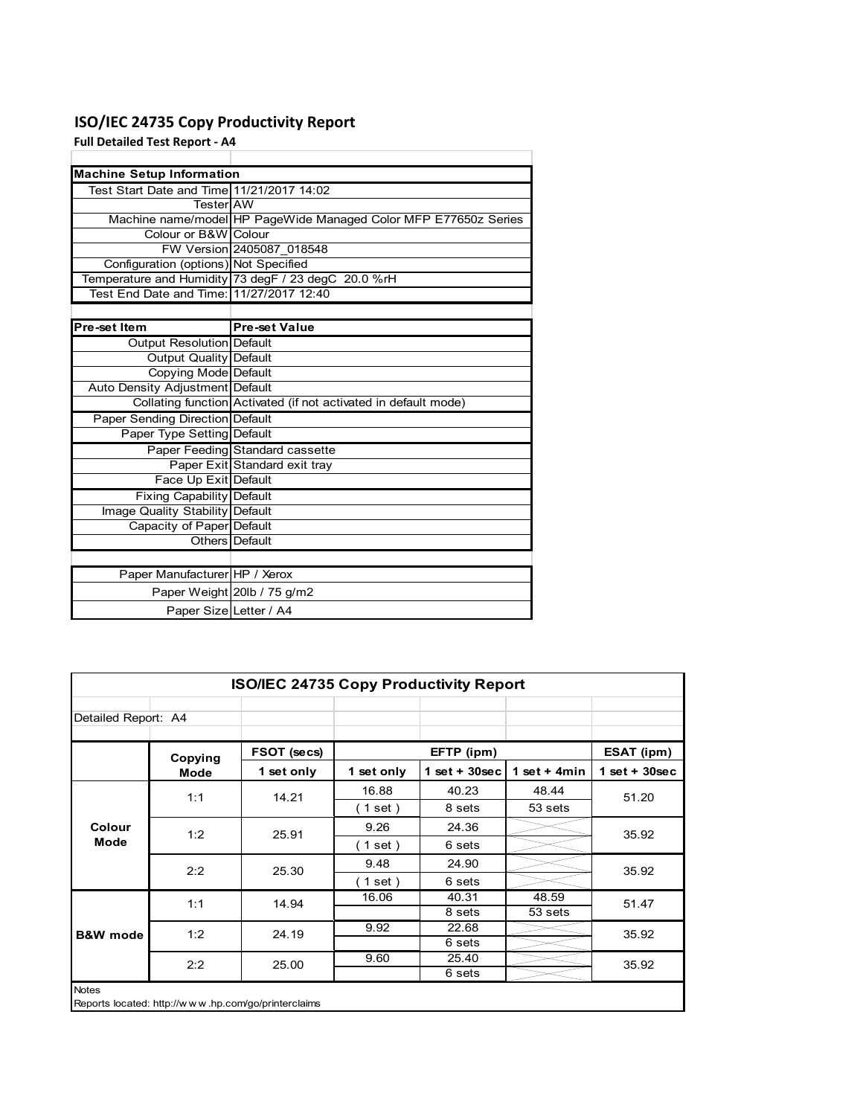## **ISO/IEC 24735 Copy Productivity Report**

**Full Detailed Test Report ‐ A4**

| <b>Machine Setup Information</b>          |                                                                 |
|-------------------------------------------|-----------------------------------------------------------------|
| Test Start Date and Time 11/21/2017 14:02 |                                                                 |
| TesterIAW                                 |                                                                 |
|                                           | Machine name/model HP PageWide Managed Color MFP E77650z Series |
| Colour or B&W Colour                      |                                                                 |
|                                           | FW Version 2405087 018548                                       |
| Configuration (options) Not Specified     |                                                                 |
|                                           | Temperature and Humidity 73 degF / 23 degC 20.0 %rH             |
| Test End Date and Time: 11/27/2017 12:40  |                                                                 |
|                                           |                                                                 |
| Pre-set Item                              | <b>Pre-set Value</b>                                            |
| Output Resolution Default                 |                                                                 |
| <b>Output Quality Default</b>             |                                                                 |
| Copying Mode Default                      |                                                                 |
| Auto Density Adjustment Default           |                                                                 |
|                                           | Collating function Activated (if not activated in default mode) |
| Paper Sending Direction Default           |                                                                 |
| Paper Type Setting Default                |                                                                 |
|                                           | Paper Feeding Standard cassette                                 |
|                                           | Paper Exit Standard exit tray                                   |
| Face Up Exit Default                      |                                                                 |
| <b>Fixing Capability Default</b>          |                                                                 |
| Image Quality Stability Default           |                                                                 |
| Capacity of Paper Default                 |                                                                 |
|                                           | Others Default                                                  |
|                                           |                                                                 |
| Paper Manufacturer HP / Xerox             |                                                                 |
|                                           | Paper Weight 20lb / 75 g/m2                                     |
| Paper Size Letter / A4                    |                                                                 |

| <b>ISO/IEC 24735 Copy Productivity Report</b> |         |                                                     |                          |                  |                 |                   |  |  |
|-----------------------------------------------|---------|-----------------------------------------------------|--------------------------|------------------|-----------------|-------------------|--|--|
| Detailed Report: A4                           |         |                                                     |                          |                  |                 |                   |  |  |
|                                               | Copying | FSOT (secs)                                         |                          | EFTP (ipm)       |                 | <b>ESAT (ipm)</b> |  |  |
|                                               | Mode    | 1 set only                                          | 1 set only               | 1 set + $30$ sec | 1 set + 4 $min$ | $1$ set + 30sec   |  |  |
|                                               | 1:1     | 14.21                                               | 16.88                    | 40.23            | 48.44           | 51.20             |  |  |
|                                               |         |                                                     | (1 set)                  | 8 sets           | 53 sets         |                   |  |  |
| Colour                                        | 1:2     | 25.91                                               | 9.26                     | 24.36            |                 | 35.92             |  |  |
| Mode                                          |         |                                                     | (1 set )                 | 6 sets           |                 |                   |  |  |
|                                               | 2:2     | 25.30                                               | 9.48                     | 24.90            |                 | 35.92             |  |  |
|                                               |         |                                                     | $\left( 1$ set $\right)$ | 6 sets           |                 |                   |  |  |
|                                               | 1:1     | 14.94                                               | 16.06                    | 40.31            | 48.59           | 51.47             |  |  |
|                                               |         |                                                     |                          | 8 sets           | 53 sets         |                   |  |  |
| <b>B&amp;W</b> mode                           | 1:2     | 24.19                                               | 9.92                     | 22.68            |                 | 35.92             |  |  |
|                                               |         |                                                     |                          | 6 sets           |                 |                   |  |  |
|                                               | 2:2     | 25.00                                               | 9.60                     | 25.40            |                 | 35.92             |  |  |
|                                               |         |                                                     |                          | 6 sets           |                 |                   |  |  |
| <b>Notes</b>                                  |         | Reports located: http://www.hp.com/go/printerclaims |                          |                  |                 |                   |  |  |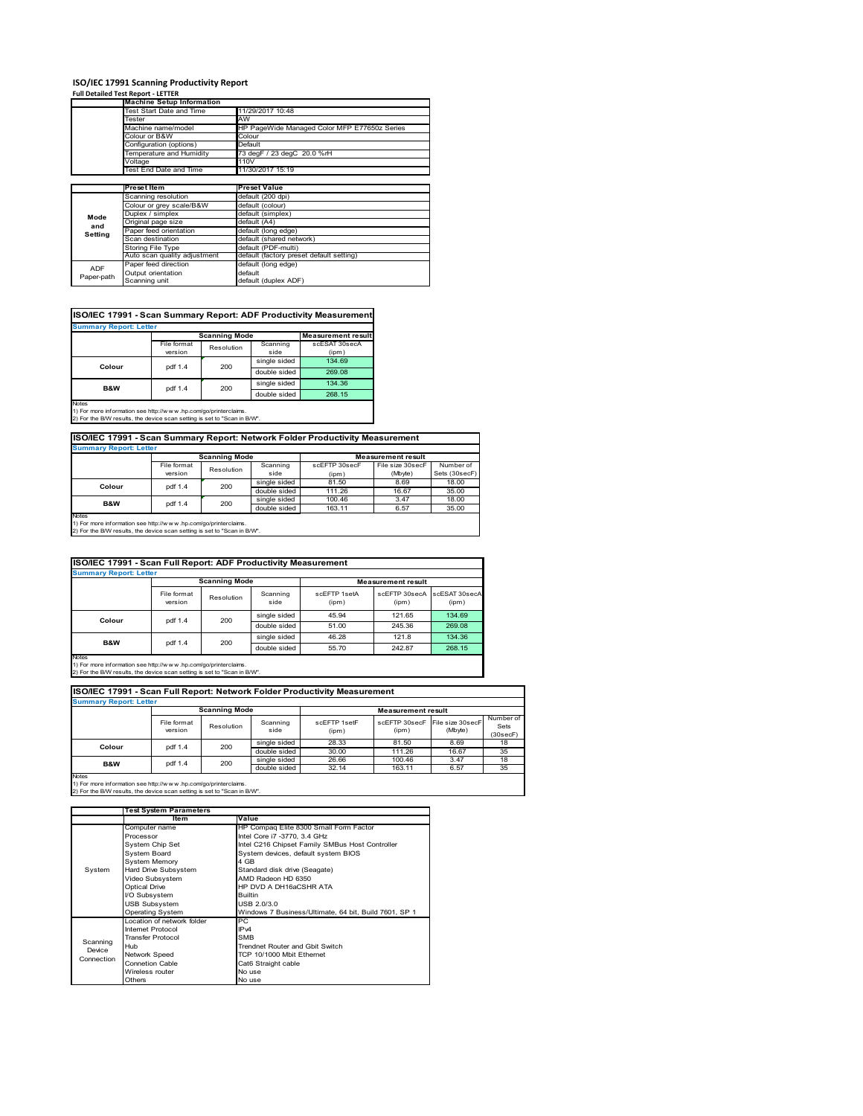## **ISO/IEC 17991 Scanning Productivity Report Full Detailed Test Report ‐ LETTER**

|            | <b>Machine Setup Information</b> |                                              |  |  |  |  |
|------------|----------------------------------|----------------------------------------------|--|--|--|--|
|            | <b>Test Start Date and Time</b>  | 11/29/2017 10:48                             |  |  |  |  |
|            | <b>Fester</b>                    | AW                                           |  |  |  |  |
|            | Machine name/model               | HP PageWide Managed Color MFP E77650z Series |  |  |  |  |
|            | Colour or B&W                    | Colour                                       |  |  |  |  |
|            | Configuration (options)          | Default                                      |  |  |  |  |
|            | emperature and Humidity          | 73 degF / 23 degC 20.0 %rH                   |  |  |  |  |
|            | Voltage                          | 110V                                         |  |  |  |  |
|            | Test End Date and Time           | 11/30/2017 15:19                             |  |  |  |  |
|            |                                  |                                              |  |  |  |  |
|            | <b>Preset Item</b>               | Preset Value                                 |  |  |  |  |
|            | Scanning resolution              | default (200 dpi)                            |  |  |  |  |
|            | Colour or grey scale/B&W         | default (colour)                             |  |  |  |  |
| Mode       | Duplex / simplex                 | default (simplex)                            |  |  |  |  |
|            | Original page size               | default (A4)                                 |  |  |  |  |
| and        | Paper feed orientation           | default (long edge)                          |  |  |  |  |
| Setting    | Scan destination                 | default (shared network)                     |  |  |  |  |
|            | Storing File Type                | default (PDF-multi)                          |  |  |  |  |
|            | Auto scan quality adjustment     | default (factory preset default setting)     |  |  |  |  |
|            | Paper feed direction             | default (long edge)                          |  |  |  |  |
| <b>ADF</b> |                                  |                                              |  |  |  |  |
| Paper-path | Output orientation               | default                                      |  |  |  |  |

| ISO/IEC 17991 - Scan Summary Report: ADF Productivity Measurement |             |                      |              |                           |  |  |  |  |
|-------------------------------------------------------------------|-------------|----------------------|--------------|---------------------------|--|--|--|--|
| <b>Summary Report: Letter</b>                                     |             |                      |              |                           |  |  |  |  |
|                                                                   |             | <b>Scanning Mode</b> |              | <b>Measurement result</b> |  |  |  |  |
|                                                                   | File format | Resolution           | Scanning     | scESAT 30secA             |  |  |  |  |
|                                                                   | version     |                      | side         | (ipm)                     |  |  |  |  |
| Colour                                                            | pdf 1.4     | 200                  | single sided | 134.69                    |  |  |  |  |
|                                                                   |             |                      | double sided | 269.08                    |  |  |  |  |
| <b>B&amp;W</b>                                                    | pdf 1.4     | 200                  | single sided | 134.36                    |  |  |  |  |
|                                                                   |             |                      | double sided | 268.15                    |  |  |  |  |
| <b>Notes</b>                                                      |             |                      |              |                           |  |  |  |  |

Notes 1) For more information see http://w w w .hp.com/go/printerclaims. 2) For the B/W results, the device scan setting is set to "Scan in B/W".

**ISO/IEC 17991 - Scan Summary Report: Network Folder Productivity Measurement**

| <b>Summary Report: Letter</b> |                      |            |              |                           |                  |               |  |
|-------------------------------|----------------------|------------|--------------|---------------------------|------------------|---------------|--|
|                               | <b>Scanning Mode</b> |            |              | <b>Measurement result</b> |                  |               |  |
|                               | File format          | Resolution | Scanning     | scEFTP 30secF             | File size 30secF | Number of     |  |
|                               | version              |            | side         | (ipm)                     | (Mbyte)          | Sets (30secF) |  |
| Colour                        | pdf 1.4              | 200        | single sided | 81.50                     | 8.69             | 18.00         |  |
|                               |                      |            | double sided | 111.26                    | 16.67            | 35.00         |  |
| <b>B&amp;W</b>                | pdf 1.4              | 200        | single sided | 100.46                    | 3.47             | 18.00         |  |
|                               |                      |            | double sided | 163.11                    | 6.57             | 35.00         |  |
| Notes                         |                      |            |              |                           |                  |               |  |

┓

Notes 1) For more information see http://w w w .hp.com/go/printerclaims. 2) For the B/W results, the device scan setting is set to "Scan in B/W".

| ISO/IEC 17991 - Scan Full Report: ADF Productivity Measurement |                        |            |                  |                       |                           |                        |  |  |
|----------------------------------------------------------------|------------------------|------------|------------------|-----------------------|---------------------------|------------------------|--|--|
| <b>Summary Report: Letter</b>                                  |                        |            |                  |                       |                           |                        |  |  |
|                                                                | <b>Scanning Mode</b>   |            |                  |                       | <b>Measurement result</b> |                        |  |  |
|                                                                | File format<br>version | Resolution | Scanning<br>side | scFFTP 1setA<br>(ipm) | scEETP 30secA<br>(ipm)    | scESAT 30secA<br>(ipm) |  |  |
| Colour                                                         | pdf 1.4                | 200        | single sided     | 45.94                 | 121.65                    | 134.69                 |  |  |
|                                                                |                        |            | double sided     | 51.00                 | 245.36                    | 269.08                 |  |  |
|                                                                | pdf 1.4                |            | single sided     | 46.28                 | 121.8                     | 134.36                 |  |  |
| B&W                                                            |                        | 200        | double sided     | 55.70                 | 242.87                    | 268.15                 |  |  |
| <b>Notes</b>                                                   |                        |            |                  |                       |                           |                        |  |  |

Notes 1) For more information see http://w w w .hp.com/go/printerclaims. 2) For the B/W results, the device scan setting is set to "Scan in B/W".

|                               | ISO/IEC 17991 - Scan Full Report: Network Folder Productivity Measurement |            |                  |                       |                           |                             |                               |  |  |
|-------------------------------|---------------------------------------------------------------------------|------------|------------------|-----------------------|---------------------------|-----------------------------|-------------------------------|--|--|
| <b>Summary Report: Letter</b> |                                                                           |            |                  |                       |                           |                             |                               |  |  |
|                               | <b>Scanning Mode</b>                                                      |            |                  |                       | <b>Measurement result</b> |                             |                               |  |  |
|                               | File format<br>version                                                    | Resolution | Scanning<br>side | scFFTP 1setF<br>(ipm) | scEFTP 30secF<br>(ipm)    | File size 30secF<br>(Mbyte) | Number of<br>Sets<br>(30secF) |  |  |
| Colour                        | pdf 1.4                                                                   | 200        | single sided     | 28.33                 | 81.50                     | 8.69                        | 18                            |  |  |
|                               |                                                                           |            | double sided     | 30.00                 | 111.26                    | 16.67                       | 35                            |  |  |
| <b>B&amp;W</b>                | pdf 1.4                                                                   | 200        | single sided     | 26.66                 | 100.46                    | 3.47                        | 18                            |  |  |
|                               |                                                                           |            | double sided     | 32.14                 | 163.11                    | 6.57                        | 35                            |  |  |
| <b>Notes</b>                  |                                                                           |            |                  |                       |                           |                             |                               |  |  |

|            | <b>Test System Parameters</b> |                                                       |  |  |  |
|------------|-------------------------------|-------------------------------------------------------|--|--|--|
|            | Item                          | Value                                                 |  |  |  |
|            | Computer name                 | HP Compaq Elite 8300 Small Form Factor                |  |  |  |
|            | Processor                     | Intel Core i7 -3770, 3.4 GHz                          |  |  |  |
|            | System Chip Set               | Intel C216 Chipset Family SMBus Host Controller       |  |  |  |
|            | <b>System Board</b>           | System devices, default system BIOS                   |  |  |  |
|            | <b>System Memory</b>          | 4 GB                                                  |  |  |  |
| System     | Hard Drive Subsystem          | Standard disk drive (Seagate)                         |  |  |  |
|            | Video Subsystem               | AMD Radeon HD 6350                                    |  |  |  |
|            | <b>Optical Drive</b>          | HP DVD A DH16aCSHR ATA                                |  |  |  |
|            | I/O Subsystem                 | <b>Builtin</b>                                        |  |  |  |
|            | <b>USB Subsystem</b>          | USB 2.0/3.0                                           |  |  |  |
|            | <b>Operating System</b>       | Windows 7 Business/Ultimate, 64 bit, Build 7601, SP 1 |  |  |  |
|            | I ocation of network folder   | PC.                                                   |  |  |  |
|            | Internet Protocol             | IP <sub>v4</sub>                                      |  |  |  |
| Scanning   | <b>Transfer Protocol</b>      | <b>SMB</b>                                            |  |  |  |
| Device     | Hub                           | Trendnet Router and Gbit Switch                       |  |  |  |
| Connection | Network Speed                 | TCP 10/1000 Mbit Ethernet                             |  |  |  |
|            | <b>Connetion Cable</b>        | Cat6 Straight cable                                   |  |  |  |
|            | Wireless router               | No use                                                |  |  |  |
|            | Others                        | No use                                                |  |  |  |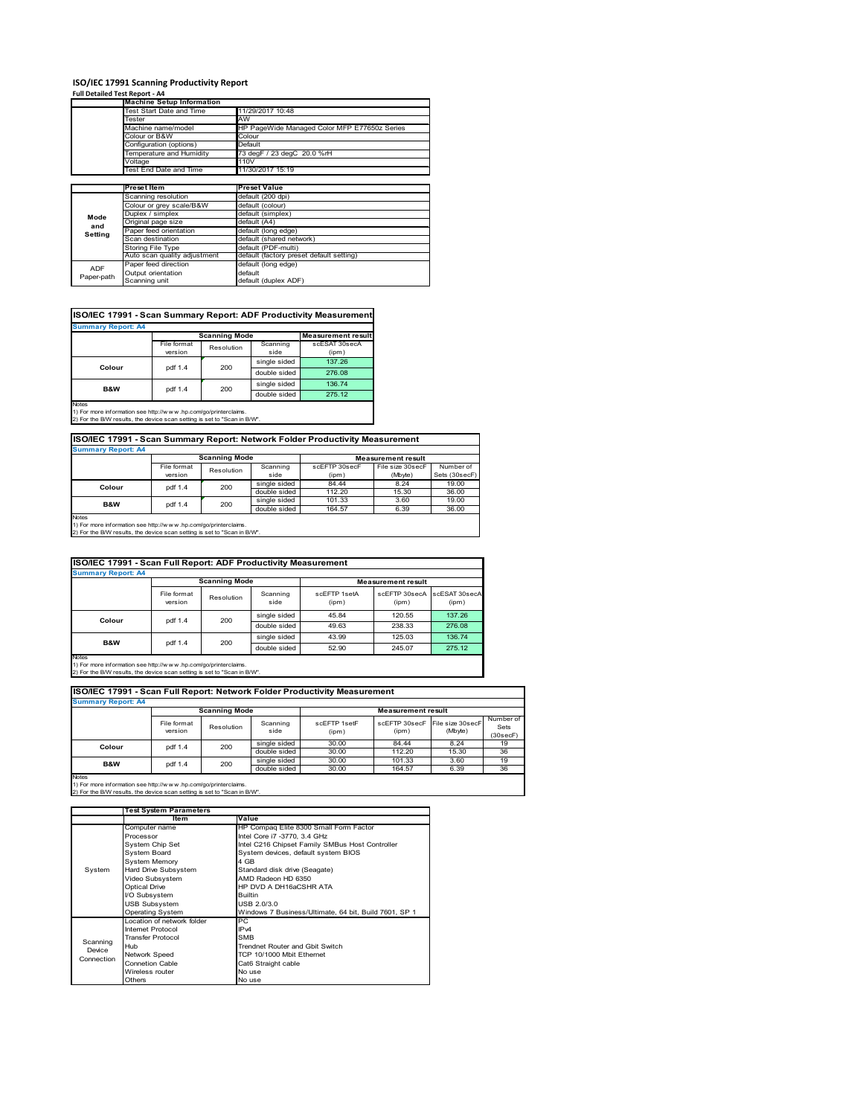# **ISO/IEC 17991 Scanning Productivity Report Full Detailed Test Report ‐ A4 Machine Setup Information**

|            | <b>Machine Setup Information</b> |                                              |
|------------|----------------------------------|----------------------------------------------|
|            | Fest Start Date and Time         | 11/29/2017 10:48                             |
|            | Tester                           | AW                                           |
|            | Machine name/model               | HP PageWide Managed Color MFP E77650z Series |
|            | Colour or B&W                    | Colour                                       |
|            | Configuration (options)          | Default                                      |
|            | emperature and Humidity          | 73 degF / 23 degC 20.0 %rH                   |
|            | Voltage                          | 110V                                         |
|            | Test End Date and Time           | 11/30/2017 15:19                             |
|            |                                  |                                              |
|            | <b>Preset Item</b>               | <b>Preset Value</b>                          |
|            | Scanning resolution              | default (200 dpi)                            |
|            | Colour or grey scale/B&W         | default (colour)                             |
| Mode       | Duplex / simplex                 | default (simplex)                            |
| and        | Original page size               | default (A4)                                 |
|            | Paper feed orientation           | default (long edge)                          |
| Setting    | Scan destination                 | default (shared network)                     |
|            | <b>Storing File Type</b>         | default (PDF-multi)                          |
|            | Auto scan quality adjustment     | default (factory preset default setting)     |
| <b>ADF</b> | Paper feed direction             | default (long edge)                          |
|            | Output orientation               | default                                      |
| Paper-path | Scanning unit                    | default (duplex ADF)                         |

| ISO/IEC 17991 - Scan Summary Report: ADF Productivity Measurement |             |                      |              |               |  |  |  |  |
|-------------------------------------------------------------------|-------------|----------------------|--------------|---------------|--|--|--|--|
| <b>Summary Report: A4</b>                                         |             |                      |              |               |  |  |  |  |
|                                                                   |             | <b>Scanning Mode</b> |              |               |  |  |  |  |
|                                                                   | File format | Resolution           | Scanning     | scESAT 30secA |  |  |  |  |
|                                                                   | version     |                      | side         | (ipm)         |  |  |  |  |
| Colour                                                            | pdf 1.4     | 200                  | single sided | 137.26        |  |  |  |  |
|                                                                   |             |                      | double sided | 276.08        |  |  |  |  |
| <b>B&amp;W</b>                                                    | pdf 1.4     | 200                  | single sided | 136.74        |  |  |  |  |
|                                                                   |             |                      | double sided | 275.12        |  |  |  |  |
| <b>Notes</b>                                                      |             |                      |              |               |  |  |  |  |

Notes 1) For more information see http://w w w .hp.com/go/printerclaims. 2) For the B/W results, the device scan setting is set to "Scan in B/W".

| ISO/IEC 17991 - Scan Summary Report: Network Folder Productivity Measurement |             |            |              |                           |                  |               |  |  |
|------------------------------------------------------------------------------|-------------|------------|--------------|---------------------------|------------------|---------------|--|--|
| <b>Summary Report: A4</b>                                                    |             |            |              |                           |                  |               |  |  |
| <b>Scanning Mode</b>                                                         |             |            |              | <b>Measurement result</b> |                  |               |  |  |
|                                                                              | File format | Resolution | Scanning     | scEFTP 30secF             | File size 30secF | Number of     |  |  |
|                                                                              | version     |            | side         | (ipm)                     | (Mbyte)          | Sets (30secF) |  |  |
| Colour                                                                       | pdf 1.4     | 200        | single sided | 84.44                     | 8.24             | 19.00         |  |  |
|                                                                              |             |            | double sided | 112.20                    | 15.30            | 36.00         |  |  |
| <b>B&amp;W</b>                                                               | pdf 1.4     | 200        | single sided | 101.33                    | 3.60             | 19.00         |  |  |
|                                                                              |             |            | double sided | 164.57                    | 6.39             | 36.00         |  |  |

Notes 1) For more information see http://w w w .hp.com/go/printerclaims. 2) For the B/W results, the device scan setting is set to "Scan in B/W".

| ISO/IEC 17991 - Scan Full Report: ADF Productivity Measurement |                        |                      |                  |                       |                           |                        |  |  |
|----------------------------------------------------------------|------------------------|----------------------|------------------|-----------------------|---------------------------|------------------------|--|--|
| <b>Summary Report: A4</b>                                      |                        |                      |                  |                       |                           |                        |  |  |
|                                                                |                        | <b>Scanning Mode</b> |                  |                       | <b>Measurement result</b> |                        |  |  |
|                                                                | File format<br>version | Resolution           | Scanning<br>side | scFFTP 1setA<br>(ipm) | scEFTP 30secA<br>(ipm)    | scESAT 30secA<br>(ipm) |  |  |
| Colour                                                         |                        | 200<br>pdf 1.4       | single sided     | 45.84                 | 120.55                    | 137.26                 |  |  |
|                                                                |                        |                      | double sided     | 49.63                 | 238.33                    | 276.08                 |  |  |
| <b>B&amp;W</b>                                                 |                        | 200                  | single sided     | 43.99                 | 125.03                    | 136.74                 |  |  |
|                                                                | pdf 1.4                |                      | double sided     | 52.90                 | 245.07                    | 275.12                 |  |  |
| <b>Notes</b>                                                   |                        |                      |                  |                       |                           |                        |  |  |

Notes 1) For more information see http://w w w .hp.com/go/printerclaims. 2) For the B/W results, the device scan setting is set to "Scan in B/W".

|                           | ISO/IEC 17991 - Scan Full Report: Network Folder Productivity Measurement |              |                  |                       |                           |                                           |                               |  |  |
|---------------------------|---------------------------------------------------------------------------|--------------|------------------|-----------------------|---------------------------|-------------------------------------------|-------------------------------|--|--|
| <b>Summary Report: A4</b> |                                                                           |              |                  |                       |                           |                                           |                               |  |  |
|                           | <b>Scanning Mode</b>                                                      |              |                  |                       | <b>Measurement result</b> |                                           |                               |  |  |
|                           | File format<br>version                                                    | Resolution   | Scanning<br>side | scFFTP 1setF<br>(ipm) | (ipm)                     | scEFTP 30secF File size 30secF<br>(Mbyte) | Number of<br>Sets<br>(30secF) |  |  |
| Colour                    | pdf 1.4                                                                   | 200          | single sided     | 30.00                 | 84.44                     | 8.24                                      | 19                            |  |  |
|                           |                                                                           |              | double sided     | 30.00                 | 112.20                    | 15.30                                     | 36                            |  |  |
| <b>B&amp;W</b><br>pdf 1.4 | 200                                                                       | single sided | 30.00            | 101.33                | 3.60                      | 19                                        |                               |  |  |
|                           |                                                                           |              | double sided     | 30.00                 | 164.57                    | 6.39                                      | 36                            |  |  |
| <b>Notes</b>              |                                                                           |              |                  |                       |                           |                                           |                               |  |  |

 $\overline{\phantom{a}}$ 

|            | <b>Test System Parameters</b> |                                                       |  |  |
|------------|-------------------------------|-------------------------------------------------------|--|--|
|            | Item                          | Value                                                 |  |  |
|            | Computer name                 | HP Compaq Elite 8300 Small Form Factor                |  |  |
|            | Processor                     | Intel Core i7 -3770, 3.4 GHz                          |  |  |
|            | System Chip Set               | Intel C216 Chipset Family SMBus Host Controller       |  |  |
|            | <b>System Board</b>           | System devices, default system BIOS                   |  |  |
|            | <b>System Memory</b>          | 4 GB                                                  |  |  |
| System     | Hard Drive Subsystem          | Standard disk drive (Seagate)                         |  |  |
|            | Video Subsystem               | AMD Radeon HD 6350                                    |  |  |
|            | <b>Optical Drive</b>          | HP DVD A DH16aCSHR ATA                                |  |  |
|            | I/O Subsystem                 | <b>Builtin</b>                                        |  |  |
|            | <b>USB Subsystem</b>          | USB 2.0/3.0                                           |  |  |
|            | <b>Operating System</b>       | Windows 7 Business/Ultimate, 64 bit, Build 7601, SP 1 |  |  |
|            | I ocation of network folder   | PC.                                                   |  |  |
|            | Internet Protocol             | IP <sub>v4</sub>                                      |  |  |
| Scanning   | <b>Transfer Protocol</b>      | <b>SMB</b>                                            |  |  |
| Device     | Hub                           | Trendnet Router and Gbit Switch                       |  |  |
| Connection | Network Speed                 | TCP 10/1000 Mbit Ethernet                             |  |  |
|            | <b>Connetion Cable</b>        | Cat6 Straight cable                                   |  |  |
|            | Wireless router               | No use                                                |  |  |
|            | Others                        | No use                                                |  |  |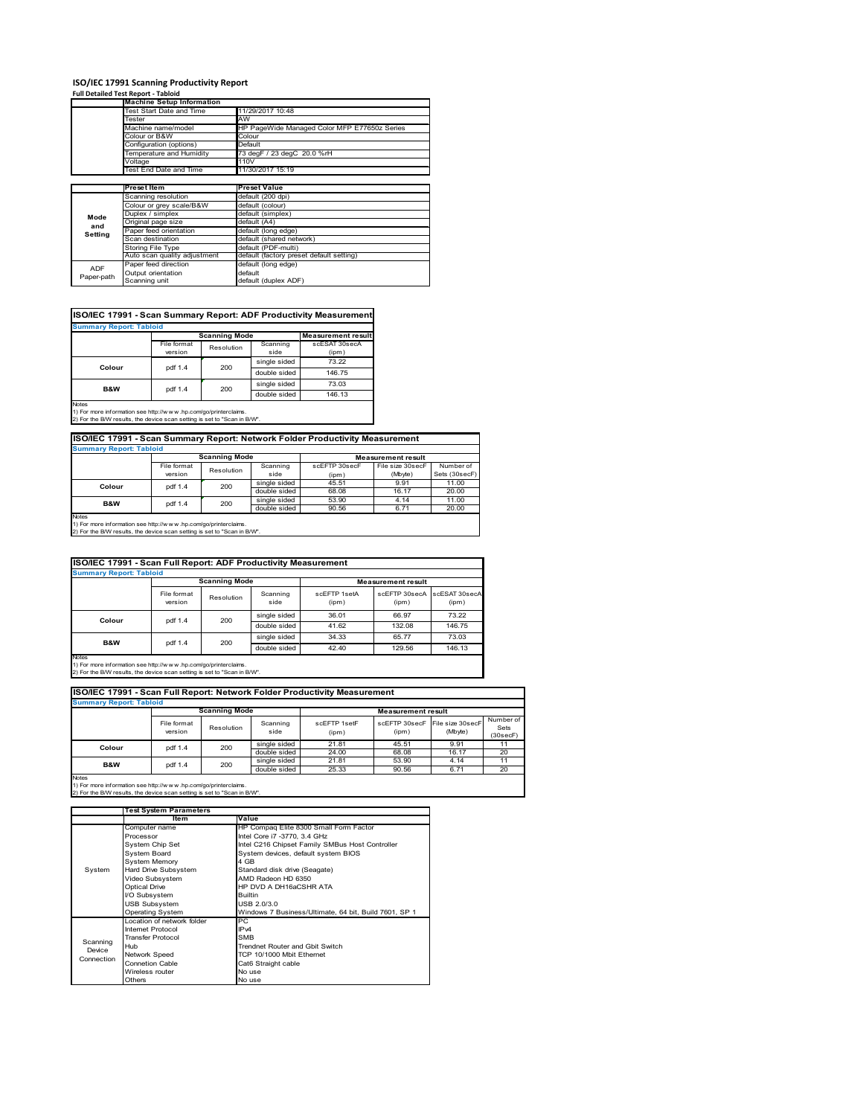# **ISO/IEC 17991 Scanning Productivity Report Full Detailed Test Report ‐ Tabloid Machine Setup Information**

|            | <b>Machine Setup Information</b> |                                              |
|------------|----------------------------------|----------------------------------------------|
|            | <b>Test Start Date and Time</b>  | 11/29/2017 10:48                             |
|            | <b>Fester</b>                    | AW                                           |
|            | Machine name/model               | HP PageWide Managed Color MFP E77650z Series |
|            | Colour or B&W                    | Colour                                       |
|            | Configuration (options)          | Default                                      |
|            | emperature and Humidity          | 73 degF / 23 degC 20.0 %rH                   |
|            | Voltage                          | 110V                                         |
|            | Test End Date and Time           | 11/30/2017 15:19                             |
|            |                                  |                                              |
|            | <b>Preset Item</b>               | <b>Preset Value</b>                          |
|            | Scanning resolution              | default (200 dpi)                            |
|            | Colour or grey scale/B&W         | default (colour)                             |
| Mode       | Duplex / simplex                 | default (simplex)                            |
|            | Original page size               | default (A4)                                 |
| and        | Paper feed orientation           | default (long edge)                          |
| Setting    | Scan destination                 | default (shared network)                     |
|            | Storing File Type                | default (PDF-multi)                          |
|            | Auto scan quality adjustment     | default (factory preset default setting)     |
|            |                                  |                                              |
| <b>ADF</b> | Paper feed direction             | default (long edge)                          |
| Paper-path | Output orientation               | default                                      |

| ISO/IEC 17991 - Scan Summary Report: ADF Productivity Measurement |             |                      |              |                           |  |  |  |  |
|-------------------------------------------------------------------|-------------|----------------------|--------------|---------------------------|--|--|--|--|
| <b>Summary Report: Tabloid</b>                                    |             |                      |              |                           |  |  |  |  |
|                                                                   |             | <b>Scanning Mode</b> |              | <b>Measurement result</b> |  |  |  |  |
|                                                                   | File format | Resolution           | Scanning     | scESAT 30secA             |  |  |  |  |
|                                                                   | version     |                      | side         | (ipm)                     |  |  |  |  |
|                                                                   |             | 200                  | single sided | 73.22                     |  |  |  |  |
| Colour                                                            | pdf 1.4     |                      | double sided | 146.75                    |  |  |  |  |
| B&W                                                               | pdf 1.4     | 200                  | single sided | 73.03                     |  |  |  |  |
|                                                                   |             |                      | double sided | 146.13                    |  |  |  |  |
| <b>Notes</b>                                                      |             |                      |              |                           |  |  |  |  |

1) For more information see http://w w w .hp.com/go/printerclaims. 2) For the B/W results, the device scan setting is set to "Scan in B/W".

| ISO/IEC 17991 - Scan Summary Report: Network Folder Productivity Measurement |             |            |              |               |                  |               |  |  |
|------------------------------------------------------------------------------|-------------|------------|--------------|---------------|------------------|---------------|--|--|
| <b>Summary Report: Tabloid</b>                                               |             |            |              |               |                  |               |  |  |
| <b>Scanning Mode</b><br><b>Measurement result</b>                            |             |            |              |               |                  |               |  |  |
|                                                                              | File format | Resolution | Scanning     | scEFTP 30secF | File size 30secF | Number of     |  |  |
|                                                                              | version     |            | side         | (ipm)         | (Mbyte)          | Sets (30secF) |  |  |
| Colour                                                                       | pdf 1.4     | 200        | single sided | 45.51         | 9.91             | 11.00         |  |  |
|                                                                              |             |            | double sided | 68.08         | 16.17            | 20.00         |  |  |
| <b>B&amp;W</b>                                                               | pdf 1.4     | 200        | single sided | 53.90         | 4.14             | 11.00         |  |  |
|                                                                              |             |            | double sided | 90.56         | 6.71             | 20.00         |  |  |
| $1.1 - 1.7$                                                                  |             |            |              |               |                  |               |  |  |

Notes 1) For more information see http://w w w .hp.com/go/printerclaims. 2) For the B/W results, the device scan setting is set to "Scan in B/W".

|                                                                                                                                                                | ISO/IEC 17991 - Scan Full Report: ADF Productivity Measurement |                      |                  |                       |                           |                        |  |  |  |
|----------------------------------------------------------------------------------------------------------------------------------------------------------------|----------------------------------------------------------------|----------------------|------------------|-----------------------|---------------------------|------------------------|--|--|--|
| <b>Summary Report: Tabloid</b>                                                                                                                                 |                                                                |                      |                  |                       |                           |                        |  |  |  |
|                                                                                                                                                                |                                                                | <b>Scanning Mode</b> |                  |                       | <b>Measurement result</b> |                        |  |  |  |
|                                                                                                                                                                | File format<br>version                                         | Resolution           | Scanning<br>side | scFFTP 1setA<br>(ipm) | scEETP 30secA<br>(ipm)    | scESAT 30secA<br>(ipm) |  |  |  |
| Colour                                                                                                                                                         | pdf 1.4                                                        | 200                  | single sided     | 36.01                 | 66.97                     | 73.22                  |  |  |  |
|                                                                                                                                                                |                                                                |                      | double sided     | 41.62                 | 132.08                    | 146.75                 |  |  |  |
|                                                                                                                                                                | pdf 1.4                                                        | 200                  | single sided     | 34.33                 | 65.77                     | 73.03                  |  |  |  |
| <b>B&amp;W</b>                                                                                                                                                 |                                                                |                      | double sided     | 42.40                 | 129.56                    | 146.13                 |  |  |  |
| <b>Notes</b><br>1) For more information see http://w w w .hp.com/go/printerclaims.<br>2) For the B/W results, the device scan setting is set to "Scan in B/W". |                                                                |                      |                  |                       |                           |                        |  |  |  |

|                                | ISO/IEC 17991 - Scan Full Report: Network Folder Productivity Measurement |            |                  |                       |                           |                             |                               |  |  |
|--------------------------------|---------------------------------------------------------------------------|------------|------------------|-----------------------|---------------------------|-----------------------------|-------------------------------|--|--|
| <b>Summary Report: Tabloid</b> |                                                                           |            |                  |                       |                           |                             |                               |  |  |
|                                | <b>Scanning Mode</b>                                                      |            |                  |                       | <b>Measurement result</b> |                             |                               |  |  |
|                                | File format<br>version                                                    | Resolution | Scanning<br>side | scEFTP 1setF<br>(ipm) | scEFTP 30secF<br>(ipm)    | File size 30secF<br>(Mbyte) | Number of<br>Sets<br>(30secF) |  |  |
| Colour                         | pdf 1.4                                                                   | 200        | single sided     | 21.81                 | 45.51                     | 9.91                        | 11                            |  |  |
|                                |                                                                           |            | double sided     | 24.00                 | 68.08                     | 16.17                       | 20                            |  |  |
| <b>B&amp;W</b>                 | pdf 1.4                                                                   | 200        | single sided     | 21.81                 | 53.90                     | 4.14                        | 11                            |  |  |
|                                |                                                                           |            | double sided     | 25.33                 | 90.56                     | 6.71                        | 20                            |  |  |
| <b>Notes</b>                   |                                                                           |            |                  |                       |                           |                             |                               |  |  |

|            | <b>Test System Parameters</b> |                                                       |  |  |  |
|------------|-------------------------------|-------------------------------------------------------|--|--|--|
|            | Item                          | Value                                                 |  |  |  |
|            | Computer name                 | HP Compaq Elite 8300 Small Form Factor                |  |  |  |
|            | Processor                     | Intel Core i7 -3770, 3.4 GHz                          |  |  |  |
|            | System Chip Set               | Intel C216 Chipset Family SMBus Host Controller       |  |  |  |
|            | <b>System Board</b>           | System devices, default system BIOS                   |  |  |  |
|            | <b>System Memory</b>          | 4 GB                                                  |  |  |  |
| System     | Hard Drive Subsystem          | Standard disk drive (Seagate)                         |  |  |  |
|            | Video Subsystem               | AMD Radeon HD 6350                                    |  |  |  |
|            | <b>Optical Drive</b>          | HP DVD A DH16aCSHR ATA                                |  |  |  |
|            | I/O Subsystem                 | <b>Builtin</b>                                        |  |  |  |
|            | <b>USB Subsystem</b>          | USB 2.0/3.0                                           |  |  |  |
|            | <b>Operating System</b>       | Windows 7 Business/Ultimate, 64 bit, Build 7601, SP 1 |  |  |  |
|            | I ocation of network folder   | PC.                                                   |  |  |  |
|            | Internet Protocol             | IP <sub>v4</sub>                                      |  |  |  |
| Scanning   | <b>Transfer Protocol</b>      | <b>SMB</b>                                            |  |  |  |
| Device     | Hub                           | Trendnet Router and Gbit Switch                       |  |  |  |
| Connection | Network Speed                 | TCP 10/1000 Mbit Ethernet                             |  |  |  |
|            | <b>Connetion Cable</b>        | Cat6 Straight cable                                   |  |  |  |
|            | Wireless router               | No use                                                |  |  |  |
|            | Others                        | No use                                                |  |  |  |